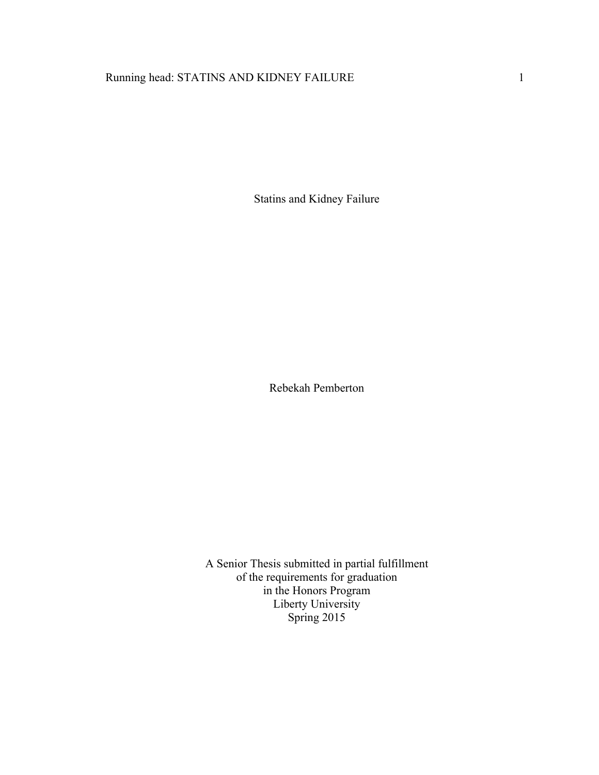# Running head: STATINS AND KIDNEY FAILURE 1

Statins and Kidney Failure

Rebekah Pemberton

A Senior Thesis submitted in partial fulfillment of the requirements for graduation in the Honors Program Liberty University Spring 2015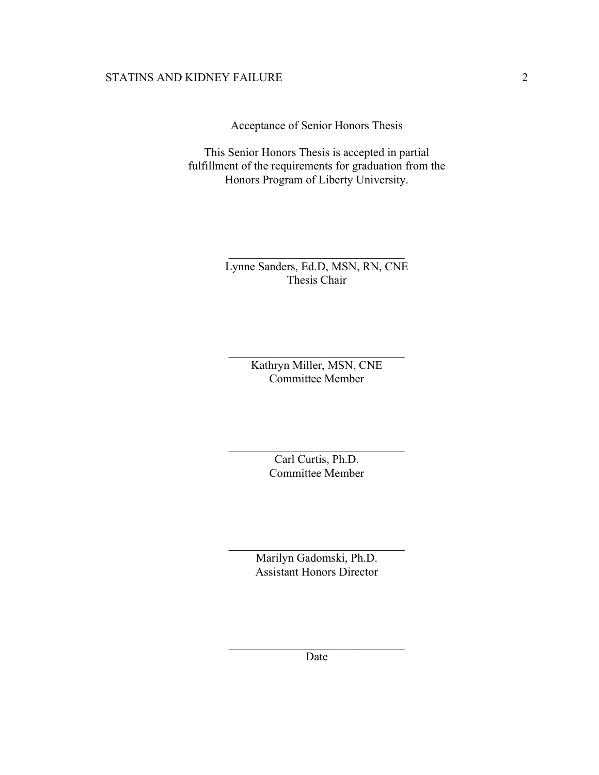Acceptance of Senior Honors Thesis

This Senior Honors Thesis is accepted in partial fulfillment of the requirements for graduation from the Honors Program of Liberty University.

> Lynne Sanders, Ed.D, MSN, RN, CNE Thesis Chair

 $\mathcal{L}_\text{max}$ 

Kathryn Miller, MSN, CNE Committee Member

 $\mathcal{L}_\text{max}$  , and the set of the set of the set of the set of the set of the set of the set of the set of the set of the set of the set of the set of the set of the set of the set of the set of the set of the set of the

Carl Curtis, Ph.D. Committee Member

 $\mathcal{L}_\text{max}$  , and the set of the set of the set of the set of the set of the set of the set of the set of the set of the set of the set of the set of the set of the set of the set of the set of the set of the set of the

Marilyn Gadomski, Ph.D. Assistant Honors Director

 $\mathcal{L}_\text{max}$  , and the set of the set of the set of the set of the set of the set of the set of the set of the set of the set of the set of the set of the set of the set of the set of the set of the set of the set of the

 $\mathcal{L}_\text{max}$  , and the set of the set of the set of the set of the set of the set of the set of the set of the set of the set of the set of the set of the set of the set of the set of the set of the set of the set of the Date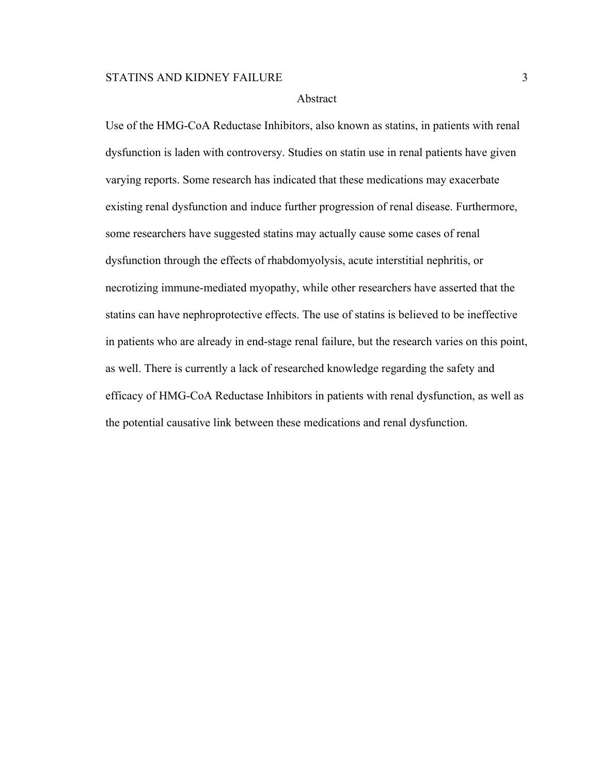#### Abstract

Use of the HMG-CoA Reductase Inhibitors, also known as statins, in patients with renal dysfunction is laden with controversy. Studies on statin use in renal patients have given varying reports. Some research has indicated that these medications may exacerbate existing renal dysfunction and induce further progression of renal disease. Furthermore, some researchers have suggested statins may actually cause some cases of renal dysfunction through the effects of rhabdomyolysis, acute interstitial nephritis, or necrotizing immune-mediated myopathy, while other researchers have asserted that the statins can have nephroprotective effects. The use of statins is believed to be ineffective in patients who are already in end-stage renal failure, but the research varies on this point, as well. There is currently a lack of researched knowledge regarding the safety and efficacy of HMG-CoA Reductase Inhibitors in patients with renal dysfunction, as well as the potential causative link between these medications and renal dysfunction.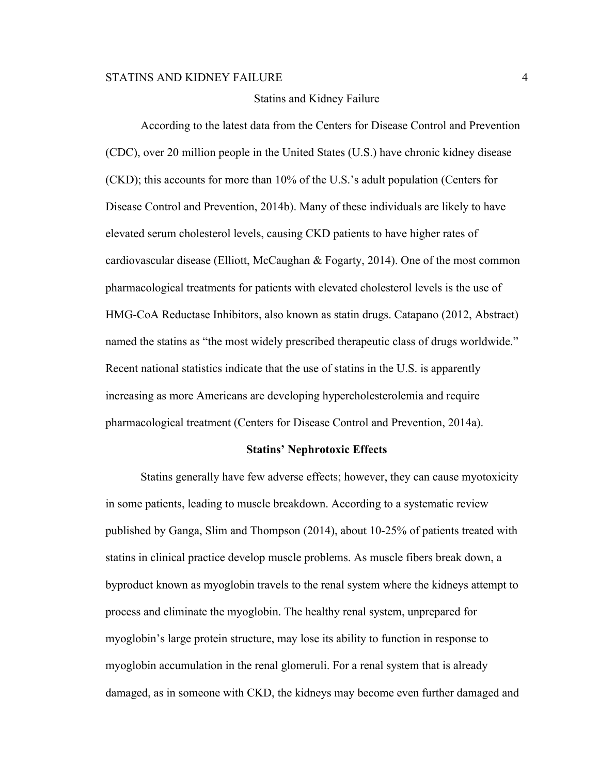#### Statins and Kidney Failure

According to the latest data from the Centers for Disease Control and Prevention (CDC), over 20 million people in the United States (U.S.) have chronic kidney disease (CKD); this accounts for more than 10% of the U.S.'s adult population (Centers for Disease Control and Prevention, 2014b). Many of these individuals are likely to have elevated serum cholesterol levels, causing CKD patients to have higher rates of cardiovascular disease (Elliott, McCaughan & Fogarty, 2014). One of the most common pharmacological treatments for patients with elevated cholesterol levels is the use of HMG-CoA Reductase Inhibitors, also known as statin drugs. Catapano (2012, Abstract) named the statins as "the most widely prescribed therapeutic class of drugs worldwide." Recent national statistics indicate that the use of statins in the U.S. is apparently increasing as more Americans are developing hypercholesterolemia and require pharmacological treatment (Centers for Disease Control and Prevention, 2014a).

#### **Statins' Nephrotoxic Effects**

Statins generally have few adverse effects; however, they can cause myotoxicity in some patients, leading to muscle breakdown. According to a systematic review published by Ganga, Slim and Thompson (2014), about 10-25% of patients treated with statins in clinical practice develop muscle problems. As muscle fibers break down, a byproduct known as myoglobin travels to the renal system where the kidneys attempt to process and eliminate the myoglobin. The healthy renal system, unprepared for myoglobin's large protein structure, may lose its ability to function in response to myoglobin accumulation in the renal glomeruli. For a renal system that is already damaged, as in someone with CKD, the kidneys may become even further damaged and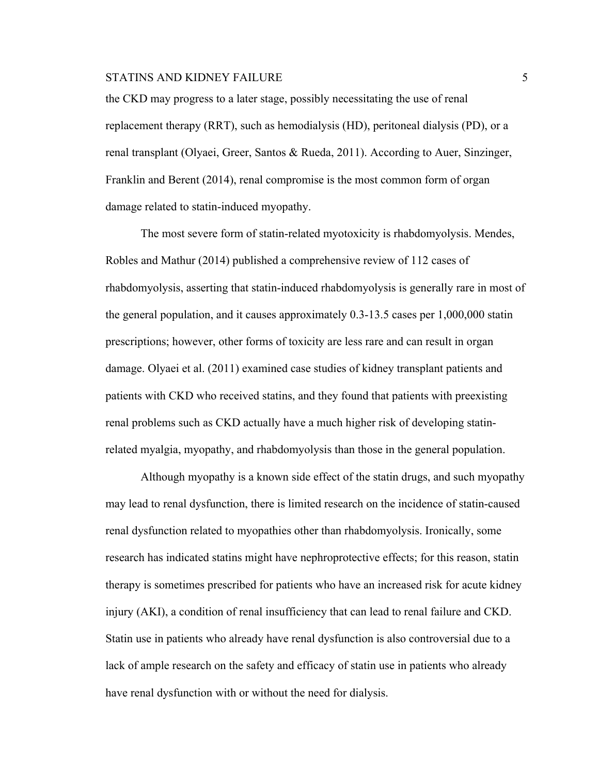the CKD may progress to a later stage, possibly necessitating the use of renal replacement therapy (RRT), such as hemodialysis (HD), peritoneal dialysis (PD), or a renal transplant (Olyaei, Greer, Santos & Rueda, 2011). According to Auer, Sinzinger, Franklin and Berent (2014), renal compromise is the most common form of organ damage related to statin-induced myopathy.

The most severe form of statin-related myotoxicity is rhabdomyolysis. Mendes, Robles and Mathur (2014) published a comprehensive review of 112 cases of rhabdomyolysis, asserting that statin-induced rhabdomyolysis is generally rare in most of the general population, and it causes approximately 0.3-13.5 cases per 1,000,000 statin prescriptions; however, other forms of toxicity are less rare and can result in organ damage. Olyaei et al. (2011) examined case studies of kidney transplant patients and patients with CKD who received statins, and they found that patients with preexisting renal problems such as CKD actually have a much higher risk of developing statinrelated myalgia, myopathy, and rhabdomyolysis than those in the general population.

Although myopathy is a known side effect of the statin drugs, and such myopathy may lead to renal dysfunction, there is limited research on the incidence of statin-caused renal dysfunction related to myopathies other than rhabdomyolysis. Ironically, some research has indicated statins might have nephroprotective effects; for this reason, statin therapy is sometimes prescribed for patients who have an increased risk for acute kidney injury (AKI), a condition of renal insufficiency that can lead to renal failure and CKD. Statin use in patients who already have renal dysfunction is also controversial due to a lack of ample research on the safety and efficacy of statin use in patients who already have renal dysfunction with or without the need for dialysis.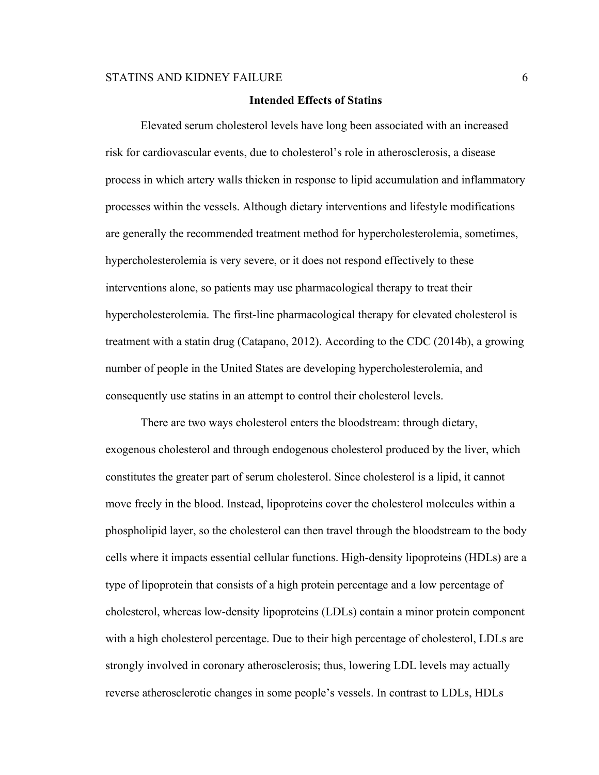#### **Intended Effects of Statins**

Elevated serum cholesterol levels have long been associated with an increased risk for cardiovascular events, due to cholesterol's role in atherosclerosis, a disease process in which artery walls thicken in response to lipid accumulation and inflammatory processes within the vessels. Although dietary interventions and lifestyle modifications are generally the recommended treatment method for hypercholesterolemia, sometimes, hypercholesterolemia is very severe, or it does not respond effectively to these interventions alone, so patients may use pharmacological therapy to treat their hypercholesterolemia. The first-line pharmacological therapy for elevated cholesterol is treatment with a statin drug (Catapano, 2012). According to the CDC (2014b), a growing number of people in the United States are developing hypercholesterolemia, and consequently use statins in an attempt to control their cholesterol levels.

There are two ways cholesterol enters the bloodstream: through dietary, exogenous cholesterol and through endogenous cholesterol produced by the liver, which constitutes the greater part of serum cholesterol. Since cholesterol is a lipid, it cannot move freely in the blood. Instead, lipoproteins cover the cholesterol molecules within a phospholipid layer, so the cholesterol can then travel through the bloodstream to the body cells where it impacts essential cellular functions. High-density lipoproteins (HDLs) are a type of lipoprotein that consists of a high protein percentage and a low percentage of cholesterol, whereas low-density lipoproteins (LDLs) contain a minor protein component with a high cholesterol percentage. Due to their high percentage of cholesterol, LDLs are strongly involved in coronary atherosclerosis; thus, lowering LDL levels may actually reverse atherosclerotic changes in some people's vessels. In contrast to LDLs, HDLs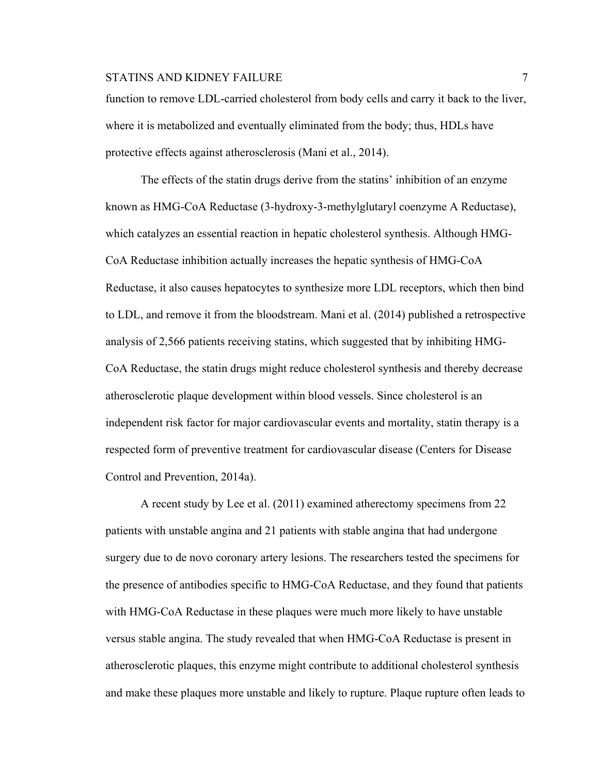## STATINS AND KIDNEY FAILURE 7 2002 12:30 12:30 12:30 12:30 12:30 12:30 12:30 12:30 12:30 12:30 12:30 12:30 12:30 12:30 12:30 12:30 12:30 12:30 12:30 12:30 12:30 12:30 12:30 12:30 12:30 12:30 12:30 12:30 12:30 12:30 12:30 12

function to remove LDL-carried cholesterol from body cells and carry it back to the liver, where it is metabolized and eventually eliminated from the body; thus, HDLs have protective effects against atherosclerosis (Mani et al., 2014).

The effects of the statin drugs derive from the statins' inhibition of an enzyme known as HMG-CoA Reductase (3-hydroxy-3-methylglutaryl coenzyme A Reductase), which catalyzes an essential reaction in hepatic cholesterol synthesis. Although HMG-CoA Reductase inhibition actually increases the hepatic synthesis of HMG-CoA Reductase, it also causes hepatocytes to synthesize more LDL receptors, which then bind to LDL, and remove it from the bloodstream. Mani et al. (2014) published a retrospective analysis of 2,566 patients receiving statins, which suggested that by inhibiting HMG-CoA Reductase, the statin drugs might reduce cholesterol synthesis and thereby decrease atherosclerotic plaque development within blood vessels. Since cholesterol is an independent risk factor for major cardiovascular events and mortality, statin therapy is a respected form of preventive treatment for cardiovascular disease (Centers for Disease Control and Prevention, 2014a).

A recent study by Lee et al. (2011) examined atherectomy specimens from 22 patients with unstable angina and 21 patients with stable angina that had undergone surgery due to de novo coronary artery lesions. The researchers tested the specimens for the presence of antibodies specific to HMG-CoA Reductase, and they found that patients with HMG-CoA Reductase in these plaques were much more likely to have unstable versus stable angina. The study revealed that when HMG-CoA Reductase is present in atherosclerotic plaques, this enzyme might contribute to additional cholesterol synthesis and make these plaques more unstable and likely to rupture. Plaque rupture often leads to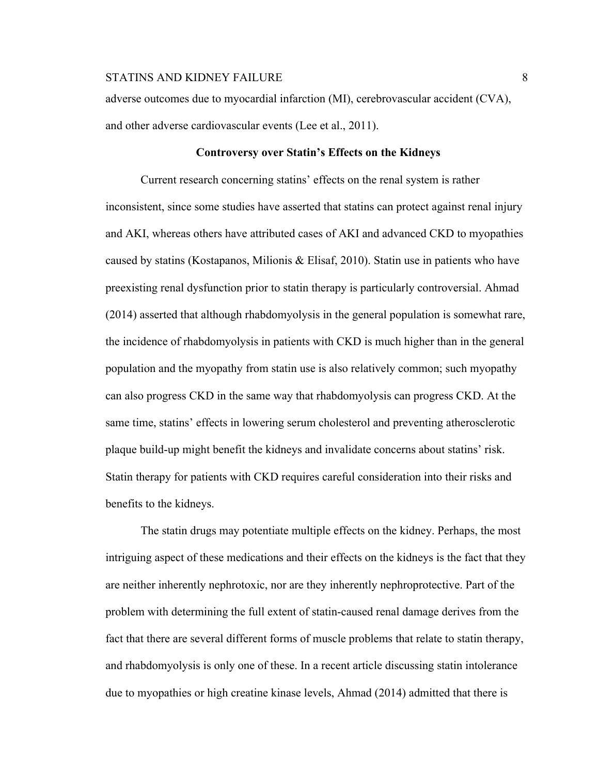adverse outcomes due to myocardial infarction (MI), cerebrovascular accident (CVA), and other adverse cardiovascular events (Lee et al., 2011).

#### **Controversy over Statin's Effects on the Kidneys**

Current research concerning statins' effects on the renal system is rather inconsistent, since some studies have asserted that statins can protect against renal injury and AKI, whereas others have attributed cases of AKI and advanced CKD to myopathies caused by statins (Kostapanos, Milionis & Elisaf, 2010). Statin use in patients who have preexisting renal dysfunction prior to statin therapy is particularly controversial. Ahmad (2014) asserted that although rhabdomyolysis in the general population is somewhat rare, the incidence of rhabdomyolysis in patients with CKD is much higher than in the general population and the myopathy from statin use is also relatively common; such myopathy can also progress CKD in the same way that rhabdomyolysis can progress CKD. At the same time, statins' effects in lowering serum cholesterol and preventing atherosclerotic plaque build-up might benefit the kidneys and invalidate concerns about statins' risk. Statin therapy for patients with CKD requires careful consideration into their risks and benefits to the kidneys.

The statin drugs may potentiate multiple effects on the kidney. Perhaps, the most intriguing aspect of these medications and their effects on the kidneys is the fact that they are neither inherently nephrotoxic, nor are they inherently nephroprotective. Part of the problem with determining the full extent of statin-caused renal damage derives from the fact that there are several different forms of muscle problems that relate to statin therapy, and rhabdomyolysis is only one of these. In a recent article discussing statin intolerance due to myopathies or high creatine kinase levels, Ahmad (2014) admitted that there is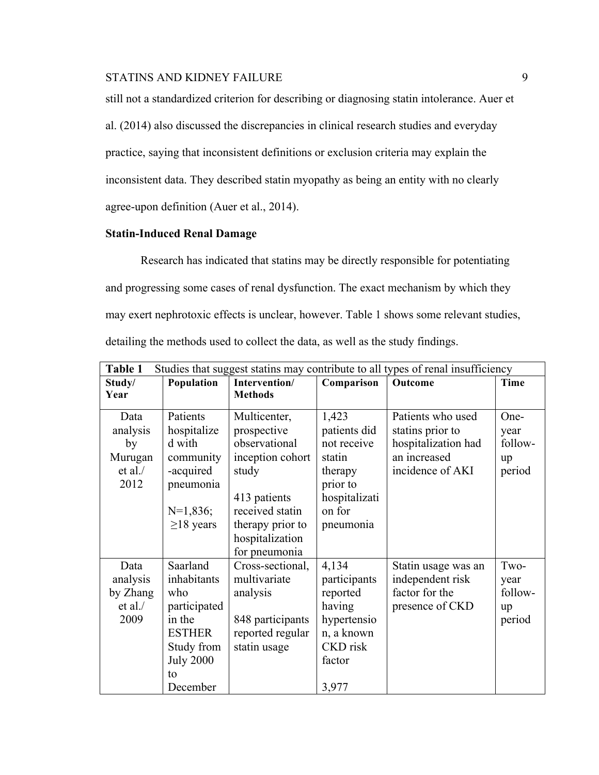still not a standardized criterion for describing or diagnosing statin intolerance. Auer et al. (2014) also discussed the discrepancies in clinical research studies and everyday practice, saying that inconsistent definitions or exclusion criteria may explain the inconsistent data. They described statin myopathy as being an entity with no clearly agree-upon definition (Auer et al., 2014).

# **Statin-Induced Renal Damage**

Research has indicated that statins may be directly responsible for potentiating and progressing some cases of renal dysfunction. The exact mechanism by which they may exert nephrotoxic effects is unclear, however. Table 1 shows some relevant studies, detailing the methods used to collect the data, as well as the study findings.

| Studies that suggest statins may contribute to all types of renal insufficiency<br>Table 1 |                                                                                                                               |                                                                                                                                                                      |                                                                                                                |                                                                                                  |                                         |  |
|--------------------------------------------------------------------------------------------|-------------------------------------------------------------------------------------------------------------------------------|----------------------------------------------------------------------------------------------------------------------------------------------------------------------|----------------------------------------------------------------------------------------------------------------|--------------------------------------------------------------------------------------------------|-----------------------------------------|--|
| Study/<br>Year                                                                             | Population                                                                                                                    | Intervention/<br><b>Methods</b>                                                                                                                                      | Comparison                                                                                                     | Outcome                                                                                          | <b>Time</b>                             |  |
| Data<br>analysis<br>by<br>Murugan<br>et al.<br>2012                                        | Patients<br>hospitalize<br>d with<br>community<br>-acquired<br>pneumonia<br>$N=1,836;$<br>$\geq$ 18 years                     | Multicenter,<br>prospective<br>observational<br>inception cohort<br>study<br>413 patients<br>received statin<br>therapy prior to<br>hospitalization<br>for pneumonia | 1,423<br>patients did<br>not receive<br>statin<br>therapy<br>prior to<br>hospitalizati<br>on for<br>pneumonia  | Patients who used<br>stating prior to<br>hospitalization had<br>an increased<br>incidence of AKI | One-<br>year<br>follow-<br>up<br>period |  |
| Data<br>analysis<br>by Zhang<br>et al.<br>2009                                             | Saarland<br>inhabitants<br>who<br>participated<br>in the<br><b>ESTHER</b><br>Study from<br><b>July 2000</b><br>to<br>December | Cross-sectional,<br>multivariate<br>analysis<br>848 participants<br>reported regular<br>statin usage                                                                 | 4,134<br>participants<br>reported<br>having<br>hypertensio<br>n, a known<br><b>CKD</b> risk<br>factor<br>3,977 | Statin usage was an<br>independent risk<br>factor for the<br>presence of CKD                     | Two-<br>year<br>follow-<br>up<br>period |  |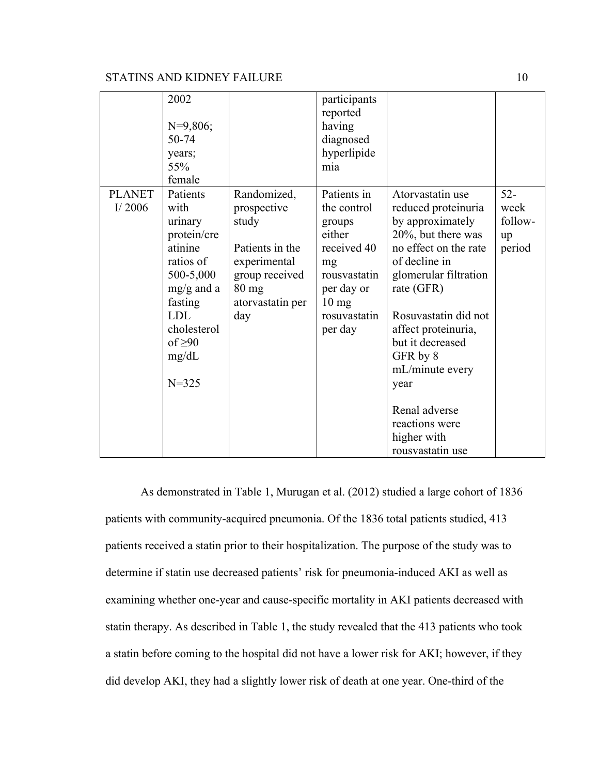|                            | 2002<br>$N=9,806;$<br>50-74<br>years;<br>55%<br>female                                                                                                                        |                                                                                                                                | participants<br>reported<br>having<br>diagnosed<br>hyperlipide<br>mia                                                                           |                                                                                                                                                                                                                                                                                                                                                    |                                           |
|----------------------------|-------------------------------------------------------------------------------------------------------------------------------------------------------------------------------|--------------------------------------------------------------------------------------------------------------------------------|-------------------------------------------------------------------------------------------------------------------------------------------------|----------------------------------------------------------------------------------------------------------------------------------------------------------------------------------------------------------------------------------------------------------------------------------------------------------------------------------------------------|-------------------------------------------|
| <b>PLANET</b><br>I/ $2006$ | Patients<br>with<br>urinary<br>protein/cre<br>atinine<br>ratios of<br>500-5,000<br>$mg/g$ and a<br>fasting<br><b>LDL</b><br>cholesterol<br>of $\geq 90$<br>mg/dL<br>$N = 325$ | Randomized,<br>prospective<br>study<br>Patients in the<br>experimental<br>group received<br>$80$ mg<br>atorvastatin per<br>day | Patients in<br>the control<br>groups<br>either<br>received 40<br>mg<br>rousvastatin<br>per day or<br>$10 \text{ mg}$<br>rosuvastatin<br>per day | Atorvastatin use<br>reduced proteinuria<br>by approximately<br>20%, but there was<br>no effect on the rate<br>of decline in<br>glomerular filtration<br>rate (GFR)<br>Rosuvastatin did not<br>affect proteinuria,<br>but it decreased<br>GFR by 8<br>mL/minute every<br>year<br>Renal adverse<br>reactions were<br>higher with<br>rousvastatin use | $52 -$<br>week<br>follow-<br>up<br>period |

As demonstrated in Table 1, Murugan et al. (2012) studied a large cohort of 1836 patients with community-acquired pneumonia. Of the 1836 total patients studied, 413 patients received a statin prior to their hospitalization. The purpose of the study was to determine if statin use decreased patients' risk for pneumonia-induced AKI as well as examining whether one-year and cause-specific mortality in AKI patients decreased with statin therapy. As described in Table 1, the study revealed that the 413 patients who took a statin before coming to the hospital did not have a lower risk for AKI; however, if they did develop AKI, they had a slightly lower risk of death at one year. One-third of the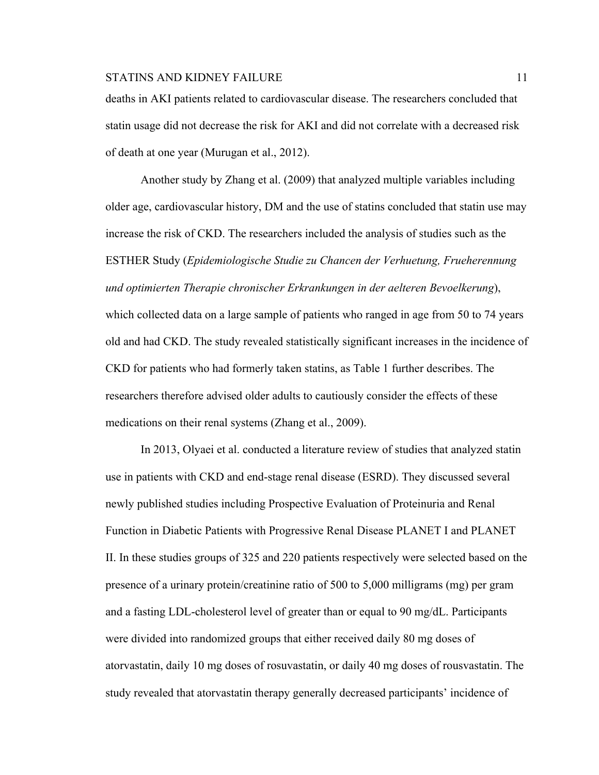deaths in AKI patients related to cardiovascular disease. The researchers concluded that statin usage did not decrease the risk for AKI and did not correlate with a decreased risk of death at one year (Murugan et al., 2012).

Another study by Zhang et al. (2009) that analyzed multiple variables including older age, cardiovascular history, DM and the use of statins concluded that statin use may increase the risk of CKD. The researchers included the analysis of studies such as the ESTHER Study (*Epidemiologische Studie zu Chancen der Verhuetung, Frueherennung und optimierten Therapie chronischer Erkrankungen in der aelteren Bevoelkerung*), which collected data on a large sample of patients who ranged in age from 50 to 74 years old and had CKD. The study revealed statistically significant increases in the incidence of CKD for patients who had formerly taken statins, as Table 1 further describes. The researchers therefore advised older adults to cautiously consider the effects of these medications on their renal systems (Zhang et al., 2009).

In 2013, Olyaei et al. conducted a literature review of studies that analyzed statin use in patients with CKD and end-stage renal disease (ESRD). They discussed several newly published studies including Prospective Evaluation of Proteinuria and Renal Function in Diabetic Patients with Progressive Renal Disease PLANET I and PLANET II. In these studies groups of 325 and 220 patients respectively were selected based on the presence of a urinary protein/creatinine ratio of 500 to 5,000 milligrams (mg) per gram and a fasting LDL-cholesterol level of greater than or equal to 90 mg/dL. Participants were divided into randomized groups that either received daily 80 mg doses of atorvastatin, daily 10 mg doses of rosuvastatin, or daily 40 mg doses of rousvastatin. The study revealed that atorvastatin therapy generally decreased participants' incidence of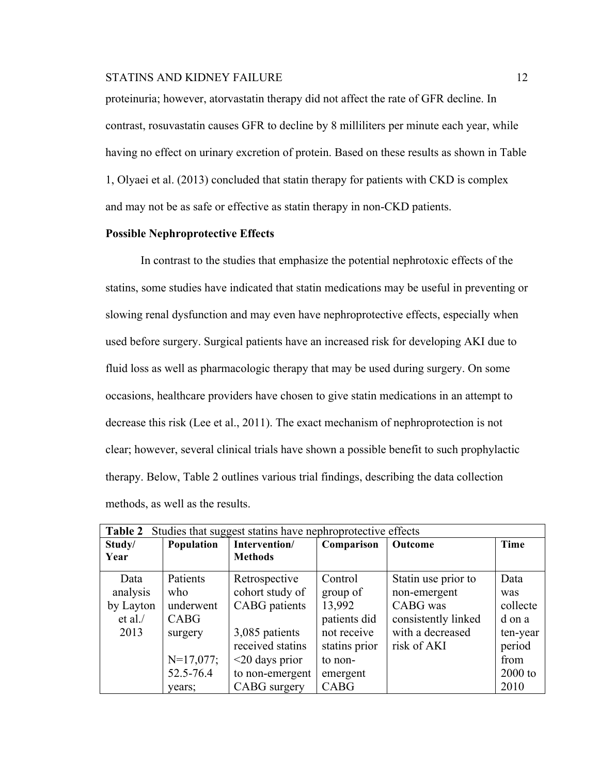proteinuria; however, atorvastatin therapy did not affect the rate of GFR decline. In contrast, rosuvastatin causes GFR to decline by 8 milliliters per minute each year, while having no effect on urinary excretion of protein. Based on these results as shown in Table 1, Olyaei et al. (2013) concluded that statin therapy for patients with CKD is complex and may not be as safe or effective as statin therapy in non-CKD patients.

#### **Possible Nephroprotective Effects**

In contrast to the studies that emphasize the potential nephrotoxic effects of the statins, some studies have indicated that statin medications may be useful in preventing or slowing renal dysfunction and may even have nephroprotective effects, especially when used before surgery. Surgical patients have an increased risk for developing AKI due to fluid loss as well as pharmacologic therapy that may be used during surgery. On some occasions, healthcare providers have chosen to give statin medications in an attempt to decrease this risk (Lee et al., 2011). The exact mechanism of nephroprotection is not clear; however, several clinical trials have shown a possible benefit to such prophylactic therapy. Below, Table 2 outlines various trial findings, describing the data collection methods, as well as the results.

| Studies that suggest statins have nephroprotective effects<br><b>Table 2</b> |             |                      |               |                     |           |  |
|------------------------------------------------------------------------------|-------------|----------------------|---------------|---------------------|-----------|--|
| Study/                                                                       | Population  | Intervention/        | Comparison    | Outcome             | Time      |  |
| Year                                                                         |             | <b>Methods</b>       |               |                     |           |  |
| Data                                                                         | Patients    | Retrospective        | Control       | Statin use prior to | Data      |  |
| analysis                                                                     | who         | cohort study of      | group of      | non-emergent        | was       |  |
| by Layton                                                                    | underwent   | <b>CABG</b> patients | 13,992        | CABG was            | collecte  |  |
| et al.                                                                       | CABG        |                      | patients did  | consistently linked | d on a    |  |
| 2013                                                                         | surgery     | 3,085 patients       | not receive   | with a decreased    | ten-year  |  |
|                                                                              |             | received statins     | stating prior | risk of AKI         | period    |  |
|                                                                              | $N=17,077;$ | $\leq$ 20 days prior | to non-       |                     | from      |  |
|                                                                              | 52.5-76.4   | to non-emergent      | emergent      |                     | $2000$ to |  |
|                                                                              | vears:      | <b>CABG</b> surgery  | <b>CABG</b>   |                     | 2010      |  |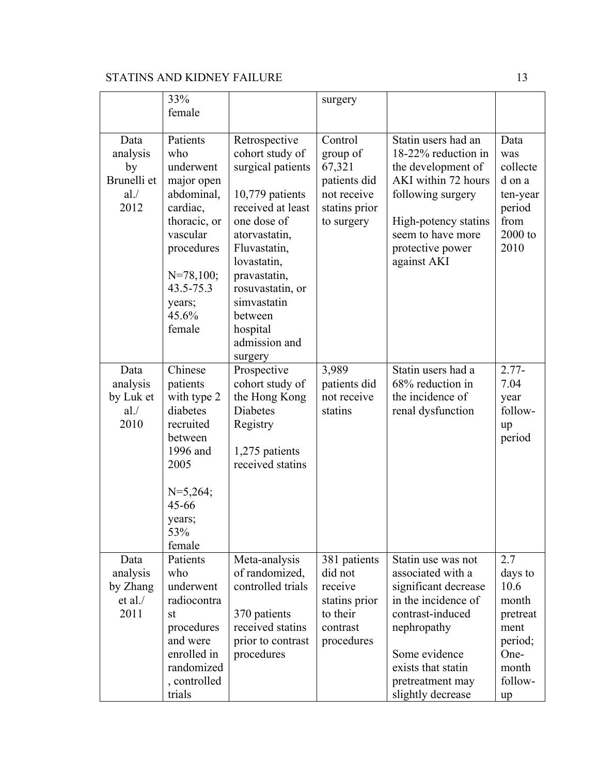|                                                      | 33%<br>female                                                                                                                                                           |                                                                                                                                                                                                                                                                    | surgery                                                                                     |                                                                                                                                                                                                           |                                                                                                  |
|------------------------------------------------------|-------------------------------------------------------------------------------------------------------------------------------------------------------------------------|--------------------------------------------------------------------------------------------------------------------------------------------------------------------------------------------------------------------------------------------------------------------|---------------------------------------------------------------------------------------------|-----------------------------------------------------------------------------------------------------------------------------------------------------------------------------------------------------------|--------------------------------------------------------------------------------------------------|
| Data<br>analysis<br>by<br>Brunelli et<br>al.<br>2012 | Patients<br>who<br>underwent<br>major open<br>abdominal,<br>cardiac,<br>thoracic, or<br>vascular<br>procedures<br>$N=78,100;$<br>43.5-75.3<br>years;<br>45.6%<br>female | Retrospective<br>cohort study of<br>surgical patients<br>10,779 patients<br>received at least<br>one dose of<br>atorvastatin,<br>Fluvastatin,<br>lovastatin,<br>pravastatin,<br>rosuvastatin, or<br>simvastatin<br>between<br>hospital<br>admission and<br>surgery | Control<br>group of<br>67,321<br>patients did<br>not receive<br>statins prior<br>to surgery | Statin users had an<br>18-22% reduction in<br>the development of<br>AKI within 72 hours<br>following surgery<br>High-potency statins<br>seem to have more<br>protective power<br>against AKI              | Data<br>was<br>collecte<br>d on a<br>ten-year<br>period<br>from<br>2000 to<br>2010               |
| Data<br>analysis<br>by Luk et<br>al.<br>2010         | Chinese<br>patients<br>with type 2<br>diabetes<br>recruited<br>between<br>1996 and<br>2005<br>$N=5,264;$<br>45-66<br>years;<br>53%<br>female                            | Prospective<br>cohort study of<br>the Hong Kong<br><b>Diabetes</b><br>Registry<br>1,275 patients<br>received statins                                                                                                                                               | 3,989<br>patients did<br>not receive<br>statins                                             | Statin users had a<br>68% reduction in<br>the incidence of<br>renal dysfunction                                                                                                                           | $2.77-$<br>7.04<br>year<br>follow-<br>up<br>period                                               |
| Data<br>analysis<br>by Zhang<br>et al.<br>2011       | Patients<br>who<br>underwent<br>radiocontra<br>st<br>procedures<br>and were<br>enrolled in<br>randomized<br>, controlled<br>trials                                      | Meta-analysis<br>of randomized,<br>controlled trials<br>370 patients<br>received statins<br>prior to contrast<br>procedures                                                                                                                                        | 381 patients<br>did not<br>receive<br>statins prior<br>to their<br>contrast<br>procedures   | Statin use was not<br>associated with a<br>significant decrease<br>in the incidence of<br>contrast-induced<br>nephropathy<br>Some evidence<br>exists that statin<br>pretreatment may<br>slightly decrease | 2.7<br>days to<br>10.6<br>month<br>pretreat<br>ment<br>period;<br>One-<br>month<br>follow-<br>up |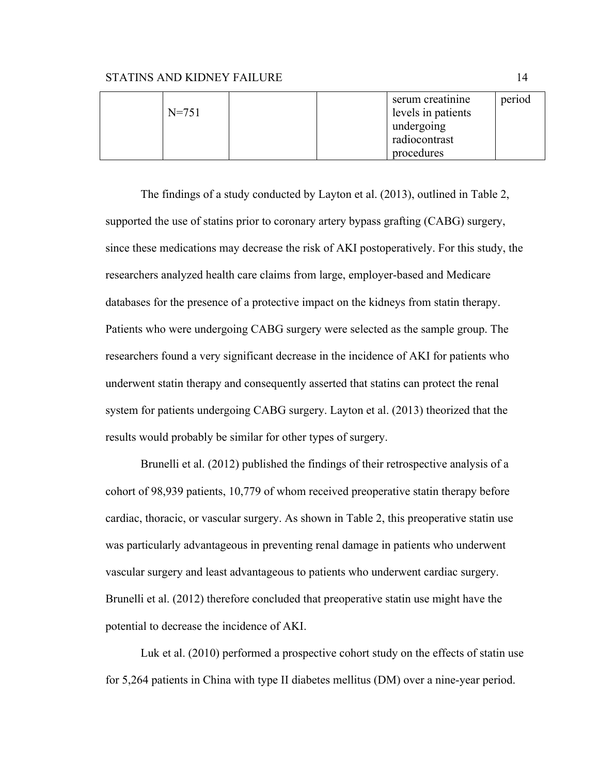|           |  | serum creatinine   | period |
|-----------|--|--------------------|--------|
| $N = 751$ |  | levels in patients |        |
|           |  | undergoing         |        |
|           |  | radiocontrast      |        |
|           |  | procedures         |        |

The findings of a study conducted by Layton et al. (2013), outlined in Table 2, supported the use of statins prior to coronary artery bypass grafting (CABG) surgery, since these medications may decrease the risk of AKI postoperatively. For this study, the researchers analyzed health care claims from large, employer-based and Medicare databases for the presence of a protective impact on the kidneys from statin therapy. Patients who were undergoing CABG surgery were selected as the sample group. The researchers found a very significant decrease in the incidence of AKI for patients who underwent statin therapy and consequently asserted that statins can protect the renal system for patients undergoing CABG surgery. Layton et al. (2013) theorized that the results would probably be similar for other types of surgery.

Brunelli et al. (2012) published the findings of their retrospective analysis of a cohort of 98,939 patients, 10,779 of whom received preoperative statin therapy before cardiac, thoracic, or vascular surgery. As shown in Table 2, this preoperative statin use was particularly advantageous in preventing renal damage in patients who underwent vascular surgery and least advantageous to patients who underwent cardiac surgery. Brunelli et al. (2012) therefore concluded that preoperative statin use might have the potential to decrease the incidence of AKI.

Luk et al. (2010) performed a prospective cohort study on the effects of statin use for 5,264 patients in China with type II diabetes mellitus (DM) over a nine-year period.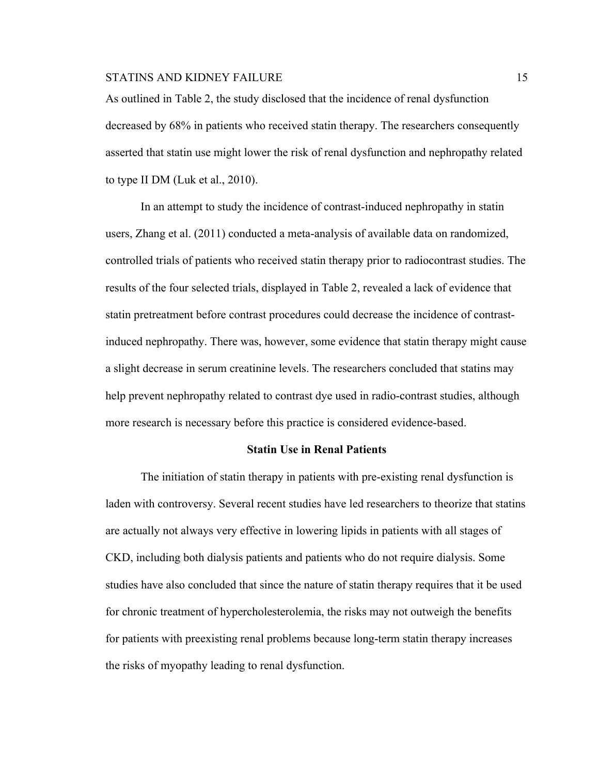As outlined in Table 2, the study disclosed that the incidence of renal dysfunction decreased by 68% in patients who received statin therapy. The researchers consequently asserted that statin use might lower the risk of renal dysfunction and nephropathy related to type II DM (Luk et al., 2010).

In an attempt to study the incidence of contrast-induced nephropathy in statin users, Zhang et al. (2011) conducted a meta-analysis of available data on randomized, controlled trials of patients who received statin therapy prior to radiocontrast studies. The results of the four selected trials, displayed in Table 2, revealed a lack of evidence that statin pretreatment before contrast procedures could decrease the incidence of contrastinduced nephropathy. There was, however, some evidence that statin therapy might cause a slight decrease in serum creatinine levels. The researchers concluded that statins may help prevent nephropathy related to contrast dye used in radio-contrast studies, although more research is necessary before this practice is considered evidence-based.

#### **Statin Use in Renal Patients**

The initiation of statin therapy in patients with pre-existing renal dysfunction is laden with controversy. Several recent studies have led researchers to theorize that statins are actually not always very effective in lowering lipids in patients with all stages of CKD, including both dialysis patients and patients who do not require dialysis. Some studies have also concluded that since the nature of statin therapy requires that it be used for chronic treatment of hypercholesterolemia, the risks may not outweigh the benefits for patients with preexisting renal problems because long-term statin therapy increases the risks of myopathy leading to renal dysfunction.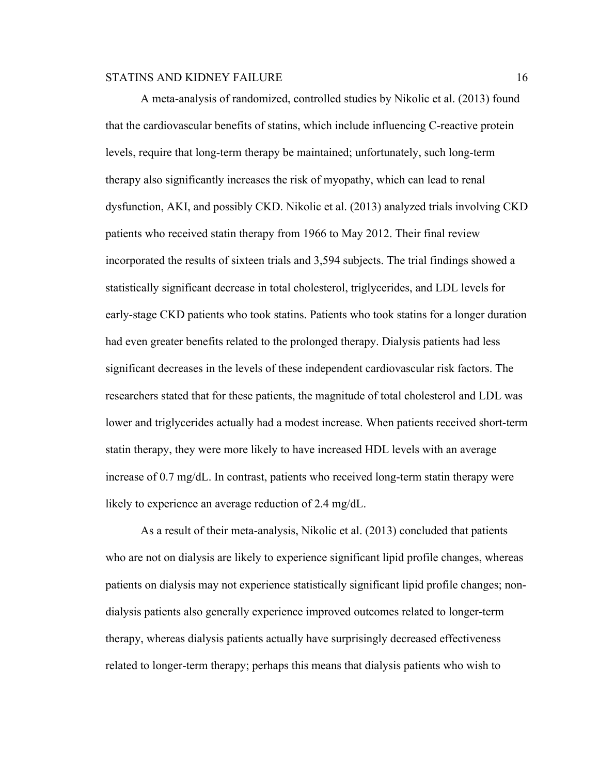A meta-analysis of randomized, controlled studies by Nikolic et al. (2013) found that the cardiovascular benefits of statins, which include influencing C-reactive protein levels, require that long-term therapy be maintained; unfortunately, such long-term therapy also significantly increases the risk of myopathy, which can lead to renal dysfunction, AKI, and possibly CKD. Nikolic et al. (2013) analyzed trials involving CKD patients who received statin therapy from 1966 to May 2012. Their final review incorporated the results of sixteen trials and 3,594 subjects. The trial findings showed a statistically significant decrease in total cholesterol, triglycerides, and LDL levels for early-stage CKD patients who took statins. Patients who took statins for a longer duration had even greater benefits related to the prolonged therapy. Dialysis patients had less significant decreases in the levels of these independent cardiovascular risk factors. The researchers stated that for these patients, the magnitude of total cholesterol and LDL was lower and triglycerides actually had a modest increase. When patients received short-term statin therapy, they were more likely to have increased HDL levels with an average increase of 0.7 mg/dL. In contrast, patients who received long-term statin therapy were likely to experience an average reduction of 2.4 mg/dL.

As a result of their meta-analysis, Nikolic et al. (2013) concluded that patients who are not on dialysis are likely to experience significant lipid profile changes, whereas patients on dialysis may not experience statistically significant lipid profile changes; nondialysis patients also generally experience improved outcomes related to longer-term therapy, whereas dialysis patients actually have surprisingly decreased effectiveness related to longer-term therapy; perhaps this means that dialysis patients who wish to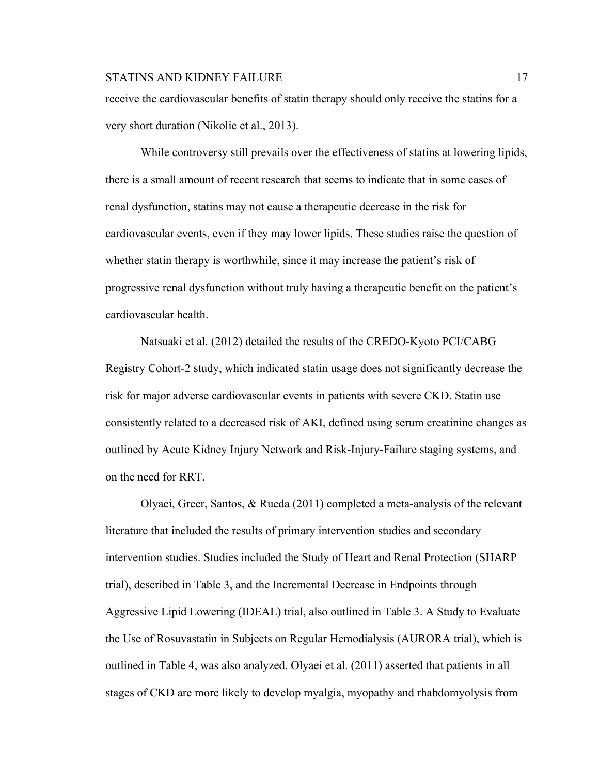receive the cardiovascular benefits of statin therapy should only receive the statins for a very short duration (Nikolic et al., 2013).

While controversy still prevails over the effectiveness of statins at lowering lipids, there is a small amount of recent research that seems to indicate that in some cases of renal dysfunction, statins may not cause a therapeutic decrease in the risk for cardiovascular events, even if they may lower lipids. These studies raise the question of whether statin therapy is worthwhile, since it may increase the patient's risk of progressive renal dysfunction without truly having a therapeutic benefit on the patient's cardiovascular health.

Natsuaki et al. (2012) detailed the results of the CREDO-Kyoto PCI/CABG Registry Cohort-2 study, which indicated statin usage does not significantly decrease the risk for major adverse cardiovascular events in patients with severe CKD. Statin use consistently related to a decreased risk of AKI, defined using serum creatinine changes as outlined by Acute Kidney Injury Network and Risk-Injury-Failure staging systems, and on the need for RRT.

Olyaei, Greer, Santos, & Rueda (2011) completed a meta-analysis of the relevant literature that included the results of primary intervention studies and secondary intervention studies. Studies included the Study of Heart and Renal Protection (SHARP trial), described in Table 3, and the Incremental Decrease in Endpoints through Aggressive Lipid Lowering (IDEAL) trial, also outlined in Table 3. A Study to Evaluate the Use of Rosuvastatin in Subjects on Regular Hemodialysis (AURORA trial), which is outlined in Table 4, was also analyzed. Olyaei et al. (2011) asserted that patients in all stages of CKD are more likely to develop myalgia, myopathy and rhabdomyolysis from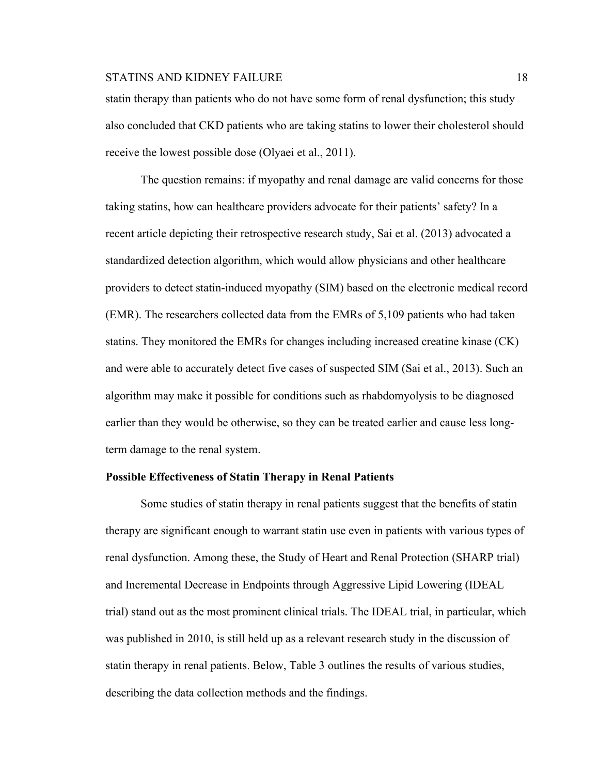statin therapy than patients who do not have some form of renal dysfunction; this study also concluded that CKD patients who are taking statins to lower their cholesterol should receive the lowest possible dose (Olyaei et al., 2011).

The question remains: if myopathy and renal damage are valid concerns for those taking statins, how can healthcare providers advocate for their patients' safety? In a recent article depicting their retrospective research study, Sai et al. (2013) advocated a standardized detection algorithm, which would allow physicians and other healthcare providers to detect statin-induced myopathy (SIM) based on the electronic medical record (EMR). The researchers collected data from the EMRs of 5,109 patients who had taken statins. They monitored the EMRs for changes including increased creatine kinase (CK) and were able to accurately detect five cases of suspected SIM (Sai et al., 2013). Such an algorithm may make it possible for conditions such as rhabdomyolysis to be diagnosed earlier than they would be otherwise, so they can be treated earlier and cause less longterm damage to the renal system.

#### **Possible Effectiveness of Statin Therapy in Renal Patients**

Some studies of statin therapy in renal patients suggest that the benefits of statin therapy are significant enough to warrant statin use even in patients with various types of renal dysfunction. Among these, the Study of Heart and Renal Protection (SHARP trial) and Incremental Decrease in Endpoints through Aggressive Lipid Lowering (IDEAL trial) stand out as the most prominent clinical trials. The IDEAL trial, in particular, which was published in 2010, is still held up as a relevant research study in the discussion of statin therapy in renal patients. Below, Table 3 outlines the results of various studies, describing the data collection methods and the findings.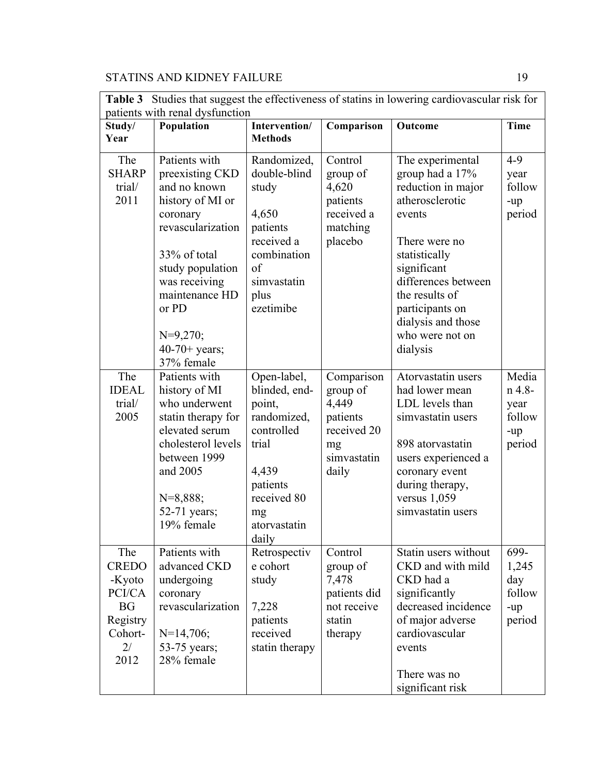| patients with renal dysfunction                                                           |                                                                                                                                                                                                                                      |                                                                                                                                                 |                                                                                          |                                                                                                                                                                                                                                                          |                                                    |  |
|-------------------------------------------------------------------------------------------|--------------------------------------------------------------------------------------------------------------------------------------------------------------------------------------------------------------------------------------|-------------------------------------------------------------------------------------------------------------------------------------------------|------------------------------------------------------------------------------------------|----------------------------------------------------------------------------------------------------------------------------------------------------------------------------------------------------------------------------------------------------------|----------------------------------------------------|--|
| Study/                                                                                    | Population                                                                                                                                                                                                                           | Intervention/                                                                                                                                   | Comparison                                                                               | Outcome                                                                                                                                                                                                                                                  | <b>Time</b>                                        |  |
| Year                                                                                      |                                                                                                                                                                                                                                      | <b>Methods</b>                                                                                                                                  |                                                                                          |                                                                                                                                                                                                                                                          |                                                    |  |
| The<br><b>SHARP</b><br>trial/<br>2011                                                     | Patients with<br>preexisting CKD<br>and no known<br>history of MI or<br>coronary<br>revascularization<br>33% of total<br>study population<br>was receiving<br>maintenance HD<br>or PD<br>$N=9,270;$<br>$40-70+$ years;<br>37% female | Randomized,<br>double-blind<br>study<br>4,650<br>patients<br>received a<br>combination<br>of<br>simvastatin<br>plus<br>ezetimibe                | Control<br>group of<br>4,620<br>patients<br>received a<br>matching<br>placebo            | The experimental<br>group had a 17%<br>reduction in major<br>atherosclerotic<br>events<br>There were no<br>statistically<br>significant<br>differences between<br>the results of<br>participants on<br>dialysis and those<br>who were not on<br>dialysis | $4 - 9$<br>year<br>follow<br>-up<br>period         |  |
| The<br><b>IDEAL</b><br>trial/<br>2005                                                     | Patients with<br>history of MI<br>who underwent<br>statin therapy for<br>elevated serum<br>cholesterol levels<br>between 1999<br>and 2005<br>$N=8,888;$<br>52-71 years;<br>19% female                                                | Open-label,<br>blinded, end-<br>point,<br>randomized,<br>controlled<br>trial<br>4,439<br>patients<br>received 80<br>mg<br>atorvastatin<br>daily | Comparison<br>group of<br>4,449<br>patients<br>received 20<br>mg<br>simvastatin<br>daily | Atorvastatin users<br>had lower mean<br>LDL levels than<br>simvastatin users<br>898 atorvastatin<br>users experienced a<br>coronary event<br>during therapy,<br>versus $1,059$<br>simvastatin users                                                      | Media<br>n 4.8-<br>year<br>follow<br>-up<br>period |  |
| The<br><b>CREDO</b><br>-Kyoto<br>PCI/CA<br><b>BG</b><br>Registry<br>Cohort-<br>2/<br>2012 | Patients with<br>advanced CKD<br>undergoing<br>coronary<br>revascularization<br>$N=14,706;$<br>53-75 years;<br>28% female                                                                                                            | Retrospectiv<br>e cohort<br>study<br>7,228<br>patients<br>received<br>statin therapy                                                            | Control<br>group of<br>7,478<br>patients did<br>not receive<br>statin<br>therapy         | Statin users without<br>CKD and with mild<br>CKD had a<br>significantly<br>decreased incidence<br>of major adverse<br>cardiovascular<br>events<br>There was no<br>significant risk                                                                       | 699-<br>1,245<br>day<br>follow<br>-up<br>period    |  |

**Table 3** Studies that suggest the effectiveness of statins in lowering cardiovascular risk for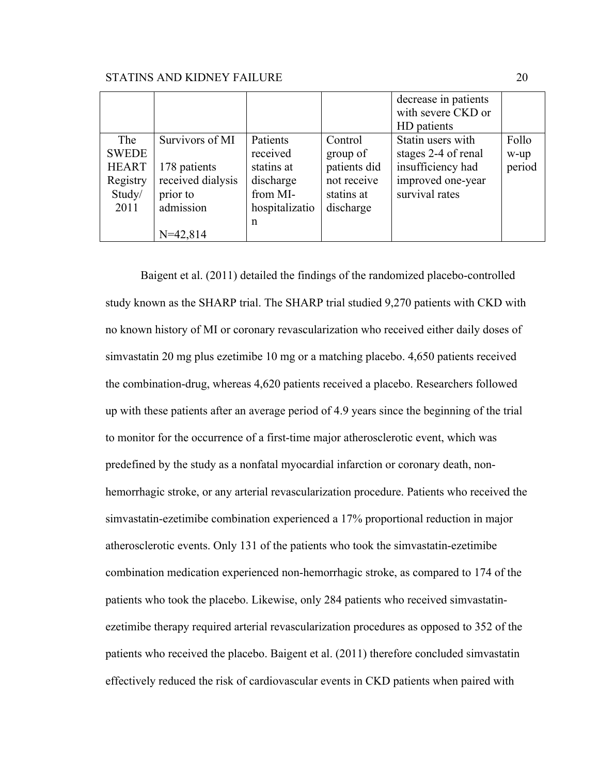|              |                   |                |              | decrease in patients |        |
|--------------|-------------------|----------------|--------------|----------------------|--------|
|              |                   |                |              | with severe CKD or   |        |
|              |                   |                |              | HD patients          |        |
| The          | Survivors of MI   | Patients       | Control      | Statin users with    | Follo  |
| <b>SWEDE</b> |                   | received       | group of     | stages 2-4 of renal  | w-up   |
| <b>HEART</b> | 178 patients      | statins at     | patients did | insufficiency had    | period |
| Registry     | received dialysis | discharge      | not receive  | improved one-year    |        |
| Study/       | prior to          | from MI-       | statins at   | survival rates       |        |
| 2011         | admission         | hospitalizatio | discharge    |                      |        |
|              |                   | n              |              |                      |        |
|              | $N=42,814$        |                |              |                      |        |

Baigent et al. (2011) detailed the findings of the randomized placebo-controlled study known as the SHARP trial. The SHARP trial studied 9,270 patients with CKD with no known history of MI or coronary revascularization who received either daily doses of simvastatin 20 mg plus ezetimibe 10 mg or a matching placebo. 4,650 patients received the combination-drug, whereas 4,620 patients received a placebo. Researchers followed up with these patients after an average period of 4.9 years since the beginning of the trial to monitor for the occurrence of a first-time major atherosclerotic event, which was predefined by the study as a nonfatal myocardial infarction or coronary death, nonhemorrhagic stroke, or any arterial revascularization procedure. Patients who received the simvastatin-ezetimibe combination experienced a 17% proportional reduction in major atherosclerotic events. Only 131 of the patients who took the simvastatin-ezetimibe combination medication experienced non-hemorrhagic stroke, as compared to 174 of the patients who took the placebo. Likewise, only 284 patients who received simvastatinezetimibe therapy required arterial revascularization procedures as opposed to 352 of the patients who received the placebo. Baigent et al. (2011) therefore concluded simvastatin effectively reduced the risk of cardiovascular events in CKD patients when paired with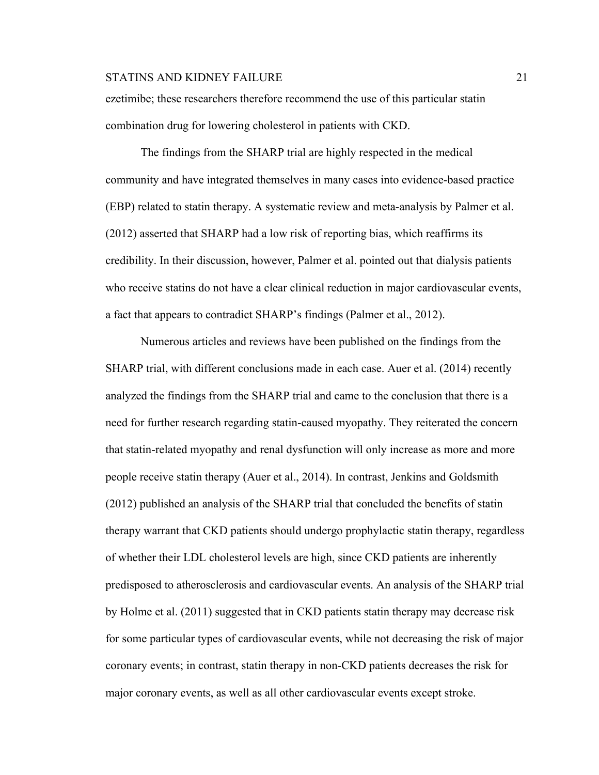ezetimibe; these researchers therefore recommend the use of this particular statin combination drug for lowering cholesterol in patients with CKD.

The findings from the SHARP trial are highly respected in the medical community and have integrated themselves in many cases into evidence-based practice (EBP) related to statin therapy. A systematic review and meta-analysis by Palmer et al. (2012) asserted that SHARP had a low risk of reporting bias, which reaffirms its credibility. In their discussion, however, Palmer et al. pointed out that dialysis patients who receive statins do not have a clear clinical reduction in major cardiovascular events, a fact that appears to contradict SHARP's findings (Palmer et al., 2012).

Numerous articles and reviews have been published on the findings from the SHARP trial, with different conclusions made in each case. Auer et al. (2014) recently analyzed the findings from the SHARP trial and came to the conclusion that there is a need for further research regarding statin-caused myopathy. They reiterated the concern that statin-related myopathy and renal dysfunction will only increase as more and more people receive statin therapy (Auer et al., 2014). In contrast, Jenkins and Goldsmith (2012) published an analysis of the SHARP trial that concluded the benefits of statin therapy warrant that CKD patients should undergo prophylactic statin therapy, regardless of whether their LDL cholesterol levels are high, since CKD patients are inherently predisposed to atherosclerosis and cardiovascular events. An analysis of the SHARP trial by Holme et al. (2011) suggested that in CKD patients statin therapy may decrease risk for some particular types of cardiovascular events, while not decreasing the risk of major coronary events; in contrast, statin therapy in non-CKD patients decreases the risk for major coronary events, as well as all other cardiovascular events except stroke.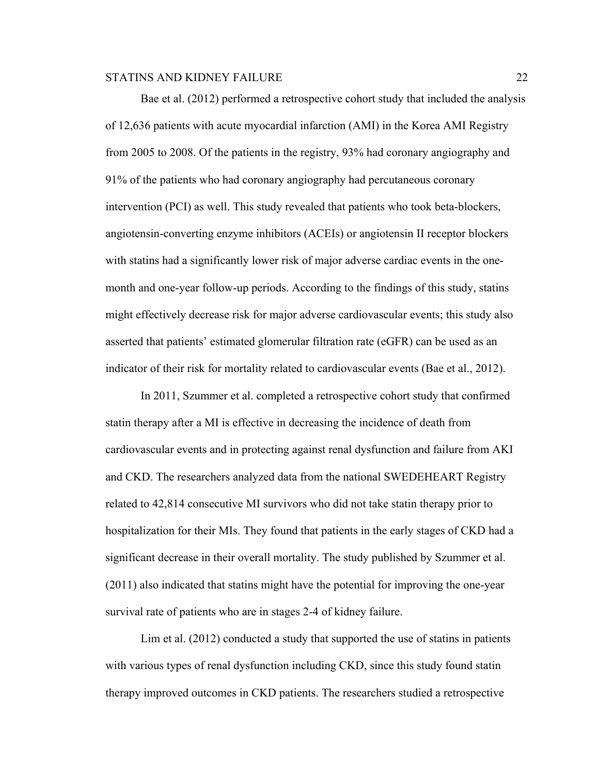Bae et al. (2012) performed a retrospective cohort study that included the analysis of 12,636 patients with acute myocardial infarction (AMI) in the Korea AMI Registry from 2005 to 2008. Of the patients in the registry, 93% had coronary angiography and 91% of the patients who had coronary angiography had percutaneous coronary intervention (PCI) as well. This study revealed that patients who took beta-blockers, angiotensin-converting enzyme inhibitors (ACEIs) or angiotensin II receptor blockers with statins had a significantly lower risk of major adverse cardiac events in the onemonth and one-year follow-up periods. According to the findings of this study, statins might effectively decrease risk for major adverse cardiovascular events; this study also asserted that patients' estimated glomerular filtration rate (eGFR) can be used as an indicator of their risk for mortality related to cardiovascular events (Bae et al., 2012).

In 2011, Szummer et al. completed a retrospective cohort study that confirmed statin therapy after a MI is effective in decreasing the incidence of death from cardiovascular events and in protecting against renal dysfunction and failure from AKI and CKD. The researchers analyzed data from the national SWEDEHEART Registry related to 42,814 consecutive MI survivors who did not take statin therapy prior to hospitalization for their MIs. They found that patients in the early stages of CKD had a significant decrease in their overall mortality. The study published by Szummer et al. (2011) also indicated that statins might have the potential for improving the one-year survival rate of patients who are in stages 2-4 of kidney failure.

Lim et al. (2012) conducted a study that supported the use of statins in patients with various types of renal dysfunction including CKD, since this study found statin therapy improved outcomes in CKD patients. The researchers studied a retrospective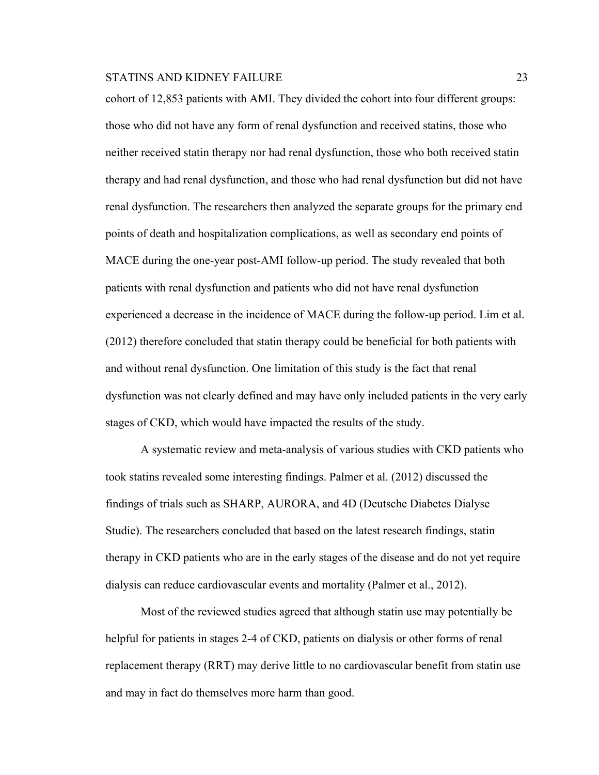cohort of 12,853 patients with AMI. They divided the cohort into four different groups: those who did not have any form of renal dysfunction and received statins, those who neither received statin therapy nor had renal dysfunction, those who both received statin therapy and had renal dysfunction, and those who had renal dysfunction but did not have renal dysfunction. The researchers then analyzed the separate groups for the primary end points of death and hospitalization complications, as well as secondary end points of MACE during the one-year post-AMI follow-up period. The study revealed that both patients with renal dysfunction and patients who did not have renal dysfunction experienced a decrease in the incidence of MACE during the follow-up period. Lim et al. (2012) therefore concluded that statin therapy could be beneficial for both patients with and without renal dysfunction. One limitation of this study is the fact that renal dysfunction was not clearly defined and may have only included patients in the very early stages of CKD, which would have impacted the results of the study.

A systematic review and meta-analysis of various studies with CKD patients who took statins revealed some interesting findings. Palmer et al. (2012) discussed the findings of trials such as SHARP, AURORA, and 4D (Deutsche Diabetes Dialyse Studie). The researchers concluded that based on the latest research findings, statin therapy in CKD patients who are in the early stages of the disease and do not yet require dialysis can reduce cardiovascular events and mortality (Palmer et al., 2012).

Most of the reviewed studies agreed that although statin use may potentially be helpful for patients in stages 2-4 of CKD, patients on dialysis or other forms of renal replacement therapy (RRT) may derive little to no cardiovascular benefit from statin use and may in fact do themselves more harm than good.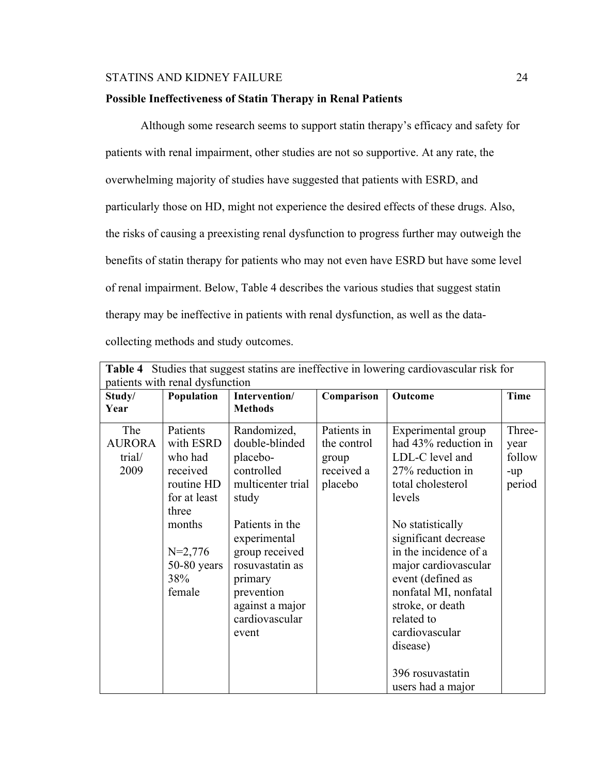## **Possible Ineffectiveness of Statin Therapy in Renal Patients**

Although some research seems to support statin therapy's efficacy and safety for patients with renal impairment, other studies are not so supportive. At any rate, the overwhelming majority of studies have suggested that patients with ESRD, and particularly those on HD, might not experience the desired effects of these drugs. Also, the risks of causing a preexisting renal dysfunction to progress further may outweigh the benefits of statin therapy for patients who may not even have ESRD but have some level of renal impairment. Below, Table 4 describes the various studies that suggest statin therapy may be ineffective in patients with renal dysfunction, as well as the datacollecting methods and study outcomes.

|                                        |                                                                                                                                              |                                                                                                                                                                                                                                      |                                                              | Table 4 Studies that suggest statins are ineffective in lowering cardiovascular risk for                                                                                                                                                                                                                                                                             |                                           |  |  |  |
|----------------------------------------|----------------------------------------------------------------------------------------------------------------------------------------------|--------------------------------------------------------------------------------------------------------------------------------------------------------------------------------------------------------------------------------------|--------------------------------------------------------------|----------------------------------------------------------------------------------------------------------------------------------------------------------------------------------------------------------------------------------------------------------------------------------------------------------------------------------------------------------------------|-------------------------------------------|--|--|--|
| patients with renal dysfunction        |                                                                                                                                              |                                                                                                                                                                                                                                      |                                                              |                                                                                                                                                                                                                                                                                                                                                                      |                                           |  |  |  |
| Study/<br>Year                         | Population                                                                                                                                   | Intervention/<br><b>Methods</b>                                                                                                                                                                                                      | Comparison                                                   | Outcome                                                                                                                                                                                                                                                                                                                                                              | <b>Time</b>                               |  |  |  |
| The<br><b>AURORA</b><br>trial/<br>2009 | Patients<br>with ESRD<br>who had<br>received<br>routine HD<br>for at least<br>three<br>months<br>$N=2,776$<br>$50-80$ years<br>38%<br>female | Randomized,<br>double-blinded<br>placebo-<br>controlled<br>multicenter trial<br>study<br>Patients in the<br>experimental<br>group received<br>rosuvastatin as<br>primary<br>prevention<br>against a major<br>cardiovascular<br>event | Patients in<br>the control<br>group<br>received a<br>placebo | Experimental group<br>had 43% reduction in<br>LDL-C level and<br>27% reduction in<br>total cholesterol<br>levels<br>No statistically<br>significant decrease<br>in the incidence of a<br>major cardiovascular<br>event (defined as<br>nonfatal MI, nonfatal<br>stroke, or death<br>related to<br>cardiovascular<br>disease)<br>396 rosuvastatin<br>users had a major | Three-<br>year<br>follow<br>-up<br>period |  |  |  |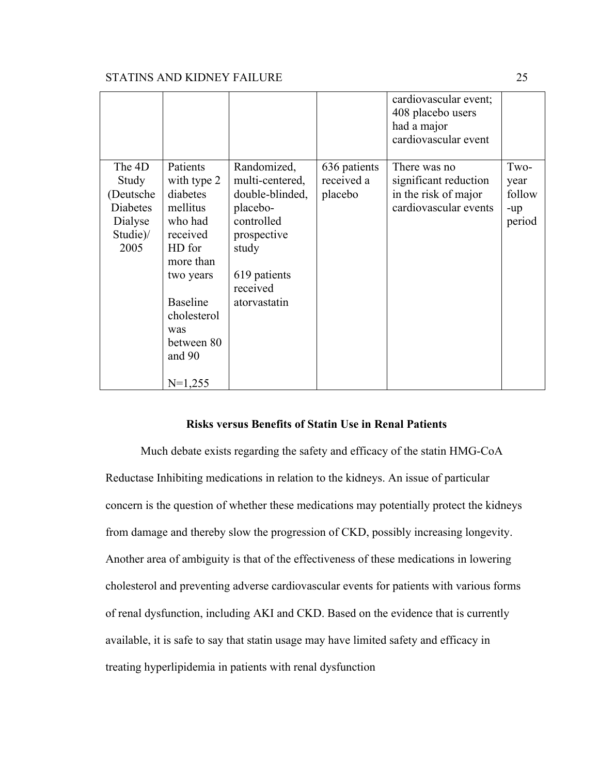|                                                                         |                                                                                                                                                                                            |                                                                                                                                                 |                                       | cardiovascular event;<br>408 placebo users<br>had a major<br>cardiovascular event      |                                         |
|-------------------------------------------------------------------------|--------------------------------------------------------------------------------------------------------------------------------------------------------------------------------------------|-------------------------------------------------------------------------------------------------------------------------------------------------|---------------------------------------|----------------------------------------------------------------------------------------|-----------------------------------------|
| The 4D<br>Study<br>(Deutsche<br>Diabetes<br>Dialyse<br>Studie)/<br>2005 | Patients<br>with type 2<br>diabetes<br>mellitus<br>who had<br>received<br>HD for<br>more than<br>two years<br><b>Baseline</b><br>cholesterol<br>was<br>between 80<br>and $90$<br>$N=1,255$ | Randomized,<br>multi-centered,<br>double-blinded,<br>placebo-<br>controlled<br>prospective<br>study<br>619 patients<br>received<br>atorvastatin | 636 patients<br>received a<br>placebo | There was no<br>significant reduction<br>in the risk of major<br>cardiovascular events | Two-<br>year<br>follow<br>-up<br>period |

#### **Risks versus Benefits of Statin Use in Renal Patients**

Much debate exists regarding the safety and efficacy of the statin HMG-CoA Reductase Inhibiting medications in relation to the kidneys. An issue of particular concern is the question of whether these medications may potentially protect the kidneys from damage and thereby slow the progression of CKD, possibly increasing longevity. Another area of ambiguity is that of the effectiveness of these medications in lowering cholesterol and preventing adverse cardiovascular events for patients with various forms of renal dysfunction, including AKI and CKD. Based on the evidence that is currently available, it is safe to say that statin usage may have limited safety and efficacy in treating hyperlipidemia in patients with renal dysfunction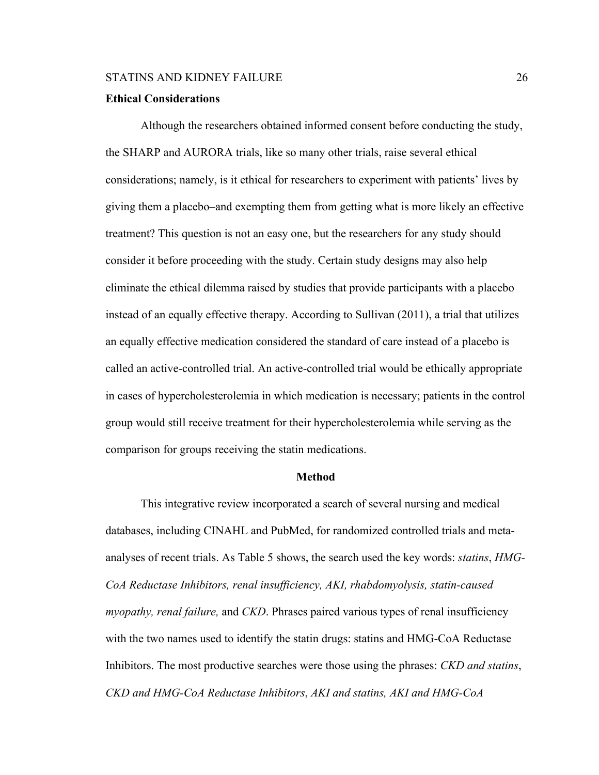#### **Ethical Considerations**

Although the researchers obtained informed consent before conducting the study, the SHARP and AURORA trials, like so many other trials, raise several ethical considerations; namely, is it ethical for researchers to experiment with patients' lives by giving them a placebo–and exempting them from getting what is more likely an effective treatment? This question is not an easy one, but the researchers for any study should consider it before proceeding with the study. Certain study designs may also help eliminate the ethical dilemma raised by studies that provide participants with a placebo instead of an equally effective therapy. According to Sullivan (2011), a trial that utilizes an equally effective medication considered the standard of care instead of a placebo is called an active-controlled trial. An active-controlled trial would be ethically appropriate in cases of hypercholesterolemia in which medication is necessary; patients in the control group would still receive treatment for their hypercholesterolemia while serving as the comparison for groups receiving the statin medications.

#### **Method**

This integrative review incorporated a search of several nursing and medical databases, including CINAHL and PubMed, for randomized controlled trials and metaanalyses of recent trials. As Table 5 shows, the search used the key words: *statins*, *HMG-CoA Reductase Inhibitors, renal insufficiency, AKI, rhabdomyolysis, statin-caused myopathy, renal failure,* and *CKD*. Phrases paired various types of renal insufficiency with the two names used to identify the statin drugs: statins and HMG-CoA Reductase Inhibitors. The most productive searches were those using the phrases: *CKD and statins*, *CKD and HMG-CoA Reductase Inhibitors*, *AKI and statins, AKI and HMG-CoA*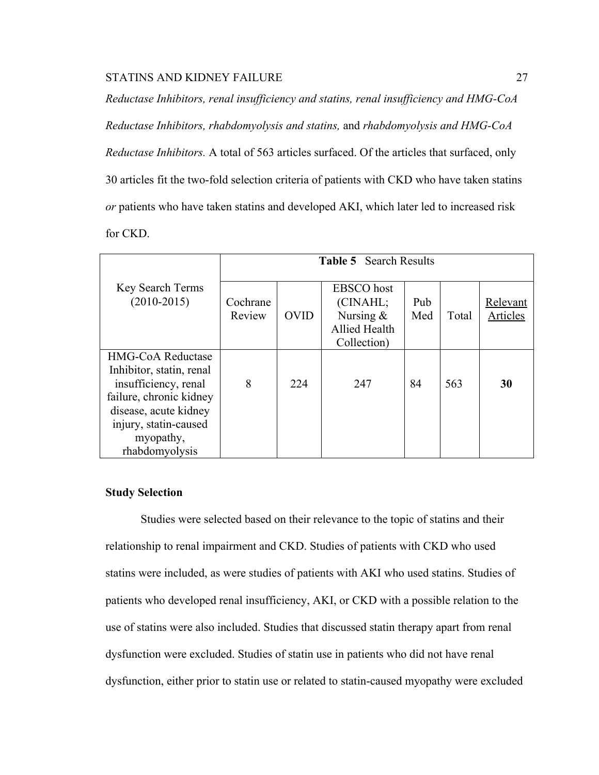*Reductase Inhibitors, renal insufficiency and statins, renal insufficiency and HMG-CoA Reductase Inhibitors, rhabdomyolysis and statins,* and *rhabdomyolysis and HMG-CoA Reductase Inhibitors.* A total of 563 articles surfaced. Of the articles that surfaced, only 30 articles fit the two-fold selection criteria of patients with CKD who have taken statins *or* patients who have taken statins and developed AKI, which later led to increased risk for CKD.

|                                                                                                                                                                                          | <b>Table 5</b> Search Results |             |                                                                              |            |       |                      |
|------------------------------------------------------------------------------------------------------------------------------------------------------------------------------------------|-------------------------------|-------------|------------------------------------------------------------------------------|------------|-------|----------------------|
| Key Search Terms<br>$(2010-2015)$                                                                                                                                                        | Cochrane<br>Review            | <b>OVID</b> | <b>EBSCO</b> host<br>(CINAHL;<br>Nursing $&$<br>Allied Health<br>Collection) | Pub<br>Med | Total | Relevant<br>Articles |
| <b>HMG-CoA Reductase</b><br>Inhibitor, statin, renal<br>insufficiency, renal<br>failure, chronic kidney<br>disease, acute kidney<br>injury, statin-caused<br>myopathy,<br>rhabdomyolysis | 8                             | 224         | 247                                                                          | 84         | 563   | 30                   |

#### **Study Selection**

Studies were selected based on their relevance to the topic of statins and their relationship to renal impairment and CKD. Studies of patients with CKD who used statins were included, as were studies of patients with AKI who used statins. Studies of patients who developed renal insufficiency, AKI, or CKD with a possible relation to the use of statins were also included. Studies that discussed statin therapy apart from renal dysfunction were excluded. Studies of statin use in patients who did not have renal dysfunction, either prior to statin use or related to statin-caused myopathy were excluded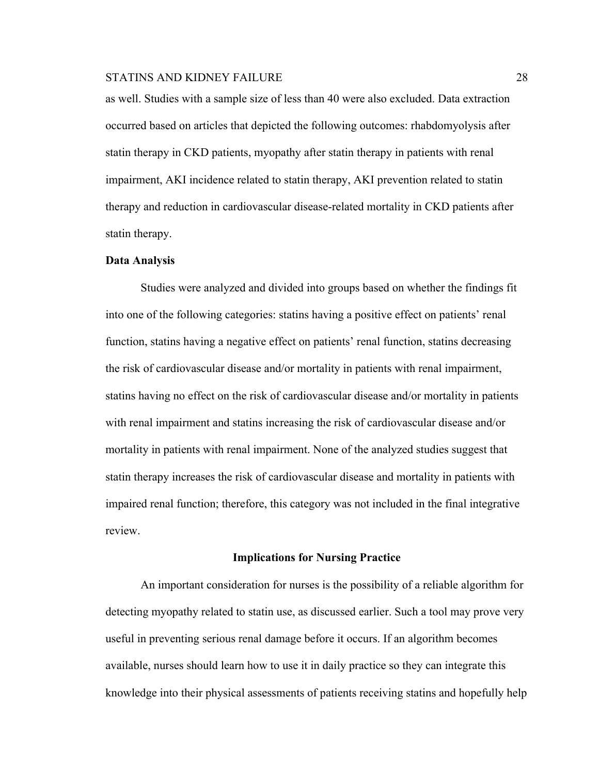as well. Studies with a sample size of less than 40 were also excluded. Data extraction occurred based on articles that depicted the following outcomes: rhabdomyolysis after statin therapy in CKD patients, myopathy after statin therapy in patients with renal impairment, AKI incidence related to statin therapy, AKI prevention related to statin therapy and reduction in cardiovascular disease-related mortality in CKD patients after statin therapy.

#### **Data Analysis**

Studies were analyzed and divided into groups based on whether the findings fit into one of the following categories: statins having a positive effect on patients' renal function, statins having a negative effect on patients' renal function, statins decreasing the risk of cardiovascular disease and/or mortality in patients with renal impairment, statins having no effect on the risk of cardiovascular disease and/or mortality in patients with renal impairment and statins increasing the risk of cardiovascular disease and/or mortality in patients with renal impairment. None of the analyzed studies suggest that statin therapy increases the risk of cardiovascular disease and mortality in patients with impaired renal function; therefore, this category was not included in the final integrative review.

#### **Implications for Nursing Practice**

An important consideration for nurses is the possibility of a reliable algorithm for detecting myopathy related to statin use, as discussed earlier. Such a tool may prove very useful in preventing serious renal damage before it occurs. If an algorithm becomes available, nurses should learn how to use it in daily practice so they can integrate this knowledge into their physical assessments of patients receiving statins and hopefully help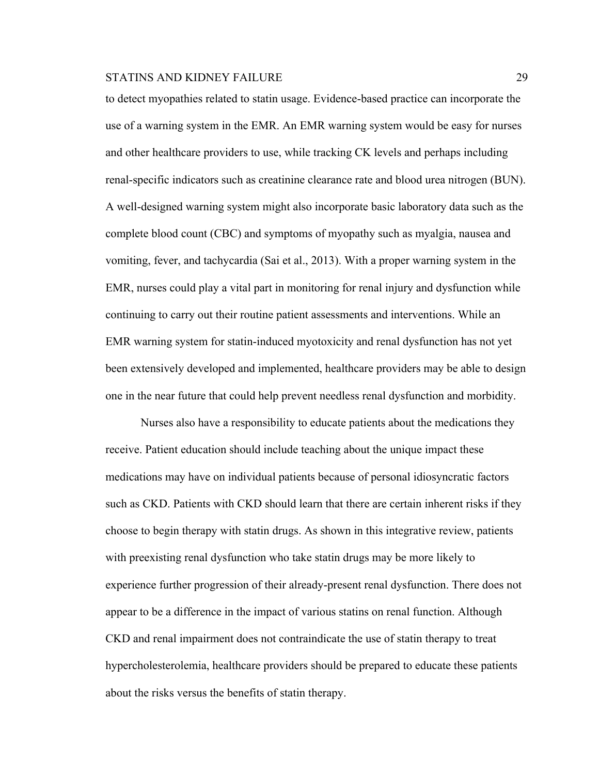to detect myopathies related to statin usage. Evidence-based practice can incorporate the use of a warning system in the EMR. An EMR warning system would be easy for nurses and other healthcare providers to use, while tracking CK levels and perhaps including renal-specific indicators such as creatinine clearance rate and blood urea nitrogen (BUN). A well-designed warning system might also incorporate basic laboratory data such as the complete blood count (CBC) and symptoms of myopathy such as myalgia, nausea and vomiting, fever, and tachycardia (Sai et al., 2013). With a proper warning system in the EMR, nurses could play a vital part in monitoring for renal injury and dysfunction while continuing to carry out their routine patient assessments and interventions. While an EMR warning system for statin-induced myotoxicity and renal dysfunction has not yet been extensively developed and implemented, healthcare providers may be able to design one in the near future that could help prevent needless renal dysfunction and morbidity.

Nurses also have a responsibility to educate patients about the medications they receive. Patient education should include teaching about the unique impact these medications may have on individual patients because of personal idiosyncratic factors such as CKD. Patients with CKD should learn that there are certain inherent risks if they choose to begin therapy with statin drugs. As shown in this integrative review, patients with preexisting renal dysfunction who take statin drugs may be more likely to experience further progression of their already-present renal dysfunction. There does not appear to be a difference in the impact of various statins on renal function. Although CKD and renal impairment does not contraindicate the use of statin therapy to treat hypercholesterolemia, healthcare providers should be prepared to educate these patients about the risks versus the benefits of statin therapy.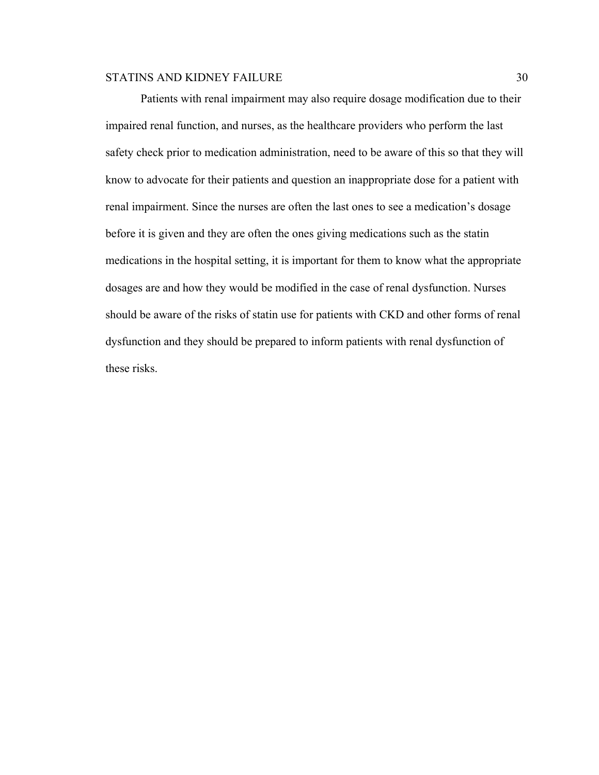Patients with renal impairment may also require dosage modification due to their impaired renal function, and nurses, as the healthcare providers who perform the last safety check prior to medication administration, need to be aware of this so that they will know to advocate for their patients and question an inappropriate dose for a patient with renal impairment. Since the nurses are often the last ones to see a medication's dosage before it is given and they are often the ones giving medications such as the statin medications in the hospital setting, it is important for them to know what the appropriate dosages are and how they would be modified in the case of renal dysfunction. Nurses should be aware of the risks of statin use for patients with CKD and other forms of renal dysfunction and they should be prepared to inform patients with renal dysfunction of these risks.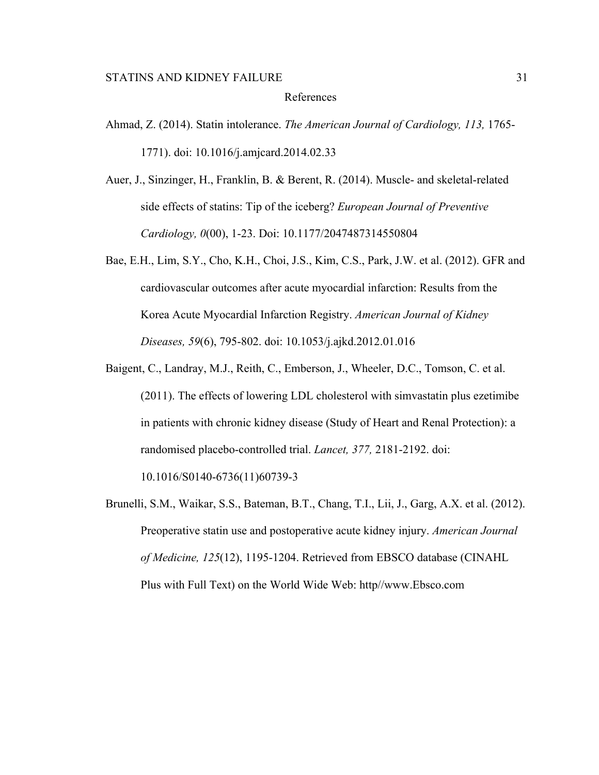## References

- Ahmad, Z. (2014). Statin intolerance. *The American Journal of Cardiology, 113,* 1765- 1771). doi: 10.1016/j.amjcard.2014.02.33
- Auer, J., Sinzinger, H., Franklin, B. & Berent, R. (2014). Muscle- and skeletal-related side effects of statins: Tip of the iceberg? *European Journal of Preventive Cardiology, 0*(00), 1-23. Doi: 10.1177/2047487314550804
- Bae, E.H., Lim, S.Y., Cho, K.H., Choi, J.S., Kim, C.S., Park, J.W. et al. (2012). GFR and cardiovascular outcomes after acute myocardial infarction: Results from the Korea Acute Myocardial Infarction Registry. *American Journal of Kidney Diseases, 59*(6), 795-802. doi: 10.1053/j.ajkd.2012.01.016
- Baigent, C., Landray, M.J., Reith, C., Emberson, J., Wheeler, D.C., Tomson, C. et al. (2011). The effects of lowering LDL cholesterol with simvastatin plus ezetimibe in patients with chronic kidney disease (Study of Heart and Renal Protection): a randomised placebo-controlled trial. *Lancet, 377,* 2181-2192. doi:

10.1016/S0140-6736(11)60739-3

Brunelli, S.M., Waikar, S.S., Bateman, B.T., Chang, T.I., Lii, J., Garg, A.X. et al. (2012). Preoperative statin use and postoperative acute kidney injury. *American Journal of Medicine, 125*(12), 1195-1204. Retrieved from EBSCO database (CINAHL Plus with Full Text) on the World Wide Web: http//www.Ebsco.com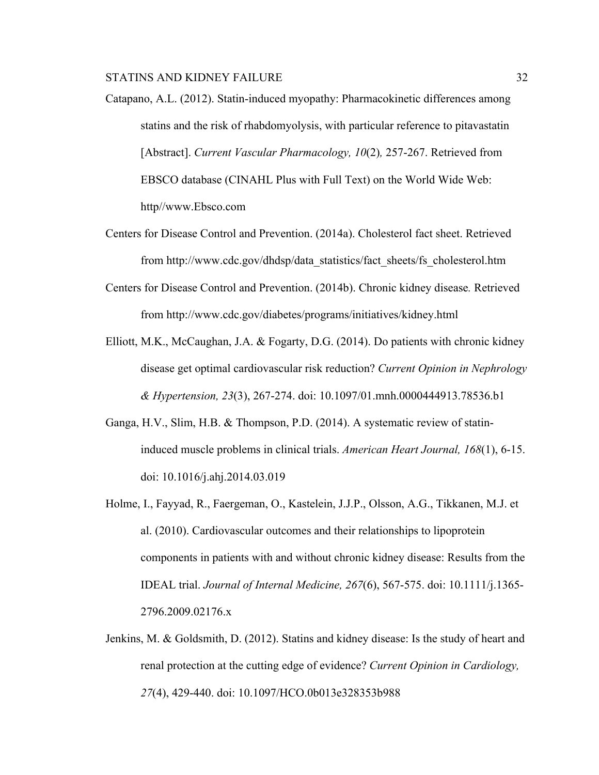- Catapano, A.L. (2012). Statin-induced myopathy: Pharmacokinetic differences among statins and the risk of rhabdomyolysis, with particular reference to pitavastatin [Abstract]. *Current Vascular Pharmacology, 10*(2)*,* 257-267. Retrieved from EBSCO database (CINAHL Plus with Full Text) on the World Wide Web: http//www.Ebsco.com
- Centers for Disease Control and Prevention. (2014a). Cholesterol fact sheet. Retrieved from http://www.cdc.gov/dhdsp/data\_statistics/fact\_sheets/fs\_cholesterol.htm
- Centers for Disease Control and Prevention. (2014b). Chronic kidney disease*.* Retrieved from http://www.cdc.gov/diabetes/programs/initiatives/kidney.html
- Elliott, M.K., McCaughan, J.A. & Fogarty, D.G. (2014). Do patients with chronic kidney disease get optimal cardiovascular risk reduction? *Current Opinion in Nephrology & Hypertension, 23*(3), 267-274. doi: 10.1097/01.mnh.0000444913.78536.b1
- Ganga, H.V., Slim, H.B. & Thompson, P.D. (2014). A systematic review of statininduced muscle problems in clinical trials. *American Heart Journal, 168*(1), 6-15. doi: 10.1016/j.ahj.2014.03.019
- Holme, I., Fayyad, R., Faergeman, O., Kastelein, J.J.P., Olsson, A.G., Tikkanen, M.J. et al. (2010). Cardiovascular outcomes and their relationships to lipoprotein components in patients with and without chronic kidney disease: Results from the IDEAL trial. *Journal of Internal Medicine, 267*(6), 567-575. doi: 10.1111/j.1365- 2796.2009.02176.x
- Jenkins, M. & Goldsmith, D. (2012). Statins and kidney disease: Is the study of heart and renal protection at the cutting edge of evidence? *Current Opinion in Cardiology, 27*(4), 429-440. doi: 10.1097/HCO.0b013e328353b988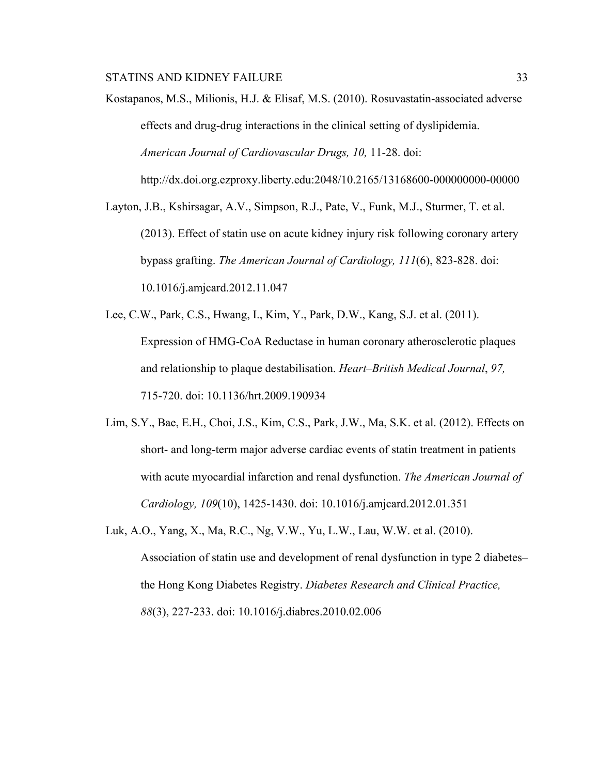Kostapanos, M.S., Milionis, H.J. & Elisaf, M.S. (2010). Rosuvastatin-associated adverse effects and drug-drug interactions in the clinical setting of dyslipidemia. *American Journal of Cardiovascular Drugs, 10,* 11-28. doi: http://dx.doi.org.ezproxy.liberty.edu:2048/10.2165/13168600-000000000-00000

Layton, J.B., Kshirsagar, A.V., Simpson, R.J., Pate, V., Funk, M.J., Sturmer, T. et al. (2013). Effect of statin use on acute kidney injury risk following coronary artery bypass grafting. *The American Journal of Cardiology, 111*(6), 823-828. doi: 10.1016/j.amjcard.2012.11.047

- Lee, C.W., Park, C.S., Hwang, I., Kim, Y., Park, D.W., Kang, S.J. et al. (2011). Expression of HMG-CoA Reductase in human coronary atherosclerotic plaques and relationship to plaque destabilisation. *Heart–British Medical Journal*, *97,*  715-720. doi: 10.1136/hrt.2009.190934
- Lim, S.Y., Bae, E.H., Choi, J.S., Kim, C.S., Park, J.W., Ma, S.K. et al. (2012). Effects on short- and long-term major adverse cardiac events of statin treatment in patients with acute myocardial infarction and renal dysfunction. *The American Journal of Cardiology, 109*(10), 1425-1430. doi: 10.1016/j.amjcard.2012.01.351
- Luk, A.O., Yang, X., Ma, R.C., Ng, V.W., Yu, L.W., Lau, W.W. et al. (2010). Association of statin use and development of renal dysfunction in type 2 diabetes– the Hong Kong Diabetes Registry. *Diabetes Research and Clinical Practice, 88*(3), 227-233. doi: 10.1016/j.diabres.2010.02.006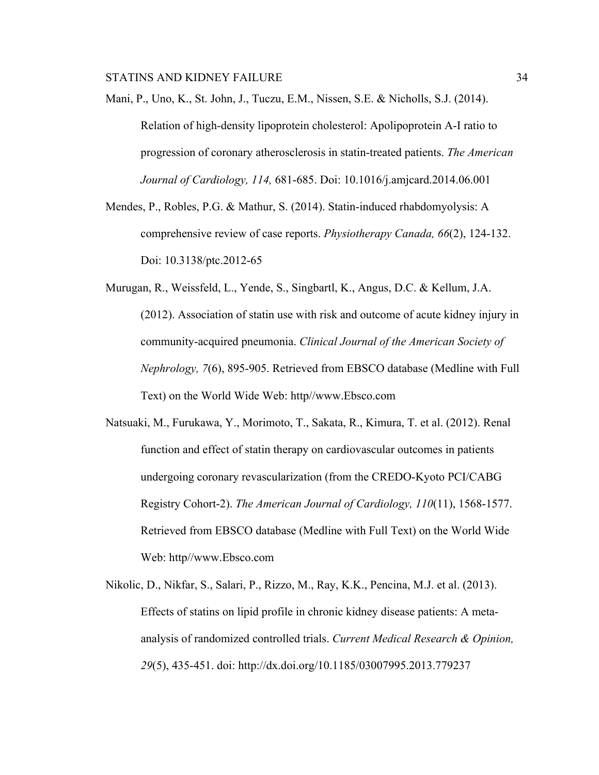Mani, P., Uno, K., St. John, J., Tuczu, E.M., Nissen, S.E. & Nicholls, S.J. (2014). Relation of high-density lipoprotein cholesterol: Apolipoprotein A-I ratio to progression of coronary atherosclerosis in statin-treated patients. *The American Journal of Cardiology, 114,* 681-685. Doi: 10.1016/j.amjcard.2014.06.001

Mendes, P., Robles, P.G. & Mathur, S. (2014). Statin-induced rhabdomyolysis: A comprehensive review of case reports. *Physiotherapy Canada, 66*(2), 124-132. Doi: 10.3138/ptc.2012-65

- Murugan, R., Weissfeld, L., Yende, S., Singbartl, K., Angus, D.C. & Kellum, J.A. (2012). Association of statin use with risk and outcome of acute kidney injury in community-acquired pneumonia. *Clinical Journal of the American Society of Nephrology, 7*(6), 895-905. Retrieved from EBSCO database (Medline with Full Text) on the World Wide Web: http//www.Ebsco.com
- Natsuaki, M., Furukawa, Y., Morimoto, T., Sakata, R., Kimura, T. et al. (2012). Renal function and effect of statin therapy on cardiovascular outcomes in patients undergoing coronary revascularization (from the CREDO-Kyoto PCI/CABG Registry Cohort-2). *The American Journal of Cardiology, 110*(11), 1568-1577. Retrieved from EBSCO database (Medline with Full Text) on the World Wide Web: http//www.Ebsco.com
- Nikolic, D., Nikfar, S., Salari, P., Rizzo, M., Ray, K.K., Pencina, M.J. et al. (2013). Effects of statins on lipid profile in chronic kidney disease patients: A metaanalysis of randomized controlled trials. *Current Medical Research & Opinion, 29*(5), 435-451. doi: http://dx.doi.org/10.1185/03007995.2013.779237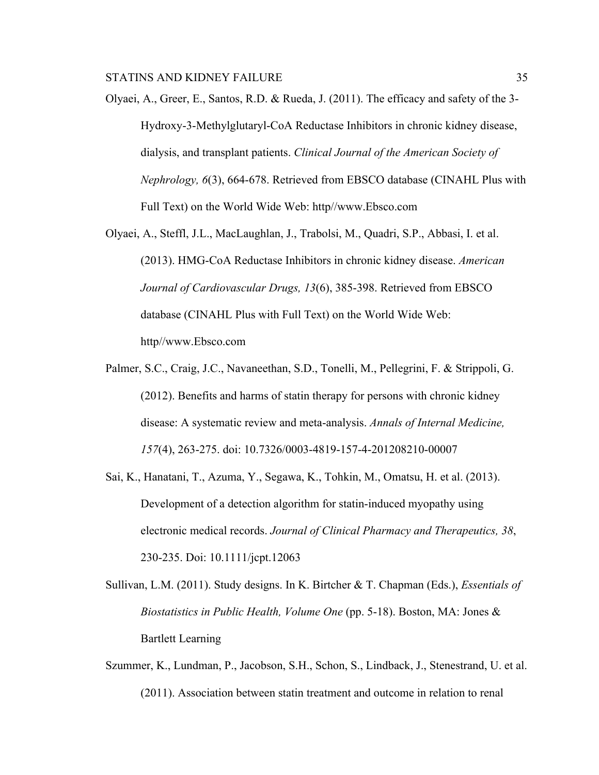- Olyaei, A., Greer, E., Santos, R.D. & Rueda, J. (2011). The efficacy and safety of the 3- Hydroxy-3-Methylglutaryl-CoA Reductase Inhibitors in chronic kidney disease, dialysis, and transplant patients. *Clinical Journal of the American Society of Nephrology, 6*(3), 664-678. Retrieved from EBSCO database (CINAHL Plus with Full Text) on the World Wide Web: http//www.Ebsco.com
- Olyaei, A., Steffl, J.L., MacLaughlan, J., Trabolsi, M., Quadri, S.P., Abbasi, I. et al. (2013). HMG-CoA Reductase Inhibitors in chronic kidney disease. *American Journal of Cardiovascular Drugs, 13*(6), 385-398. Retrieved from EBSCO database (CINAHL Plus with Full Text) on the World Wide Web: http//www.Ebsco.com
- Palmer, S.C., Craig, J.C., Navaneethan, S.D., Tonelli, M., Pellegrini, F. & Strippoli, G. (2012). Benefits and harms of statin therapy for persons with chronic kidney disease: A systematic review and meta-analysis. *Annals of Internal Medicine, 157*(4), 263-275. doi: 10.7326/0003-4819-157-4-201208210-00007
- Sai, K., Hanatani, T., Azuma, Y., Segawa, K., Tohkin, M., Omatsu, H. et al. (2013). Development of a detection algorithm for statin-induced myopathy using electronic medical records. *Journal of Clinical Pharmacy and Therapeutics, 38*, 230-235. Doi: 10.1111/jcpt.12063
- Sullivan, L.M. (2011). Study designs. In K. Birtcher & T. Chapman (Eds.), *Essentials of Biostatistics in Public Health, Volume One* (pp. 5-18). Boston, MA: Jones & Bartlett Learning
- Szummer, K., Lundman, P., Jacobson, S.H., Schon, S., Lindback, J., Stenestrand, U. et al. (2011). Association between statin treatment and outcome in relation to renal